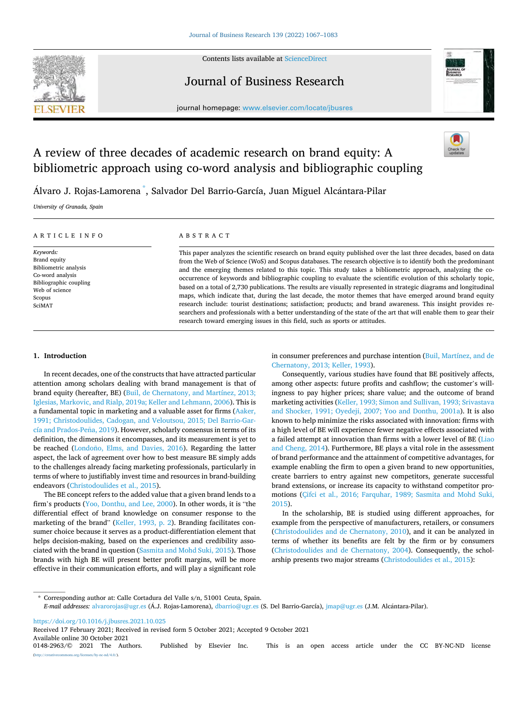Contents lists available at [ScienceDirect](www.sciencedirect.com/science/journal/01482963)



# Journal of Business Research



journal homepage: [www.elsevier.com/locate/jbusres](https://www.elsevier.com/locate/jbusres)

# A review of three decades of academic research on brand equity: A bibliometric approach using co-word analysis and bibliographic coupling

Álvaro J. Rojas-Lamorena  $\mathring{\,}$ , Salvador Del Barrio-García, Juan Miguel Alcántara-Pilar

*University of Granada, Spain* 

| ARTICLE INFO                                                                                                                           | ABSTRACT                                                                                                                                                                                                                                                                                                                                                                                                                                                                                                                                                                                                                                                                                                                                                                                                                                                                                                                                                                                                                        |
|----------------------------------------------------------------------------------------------------------------------------------------|---------------------------------------------------------------------------------------------------------------------------------------------------------------------------------------------------------------------------------------------------------------------------------------------------------------------------------------------------------------------------------------------------------------------------------------------------------------------------------------------------------------------------------------------------------------------------------------------------------------------------------------------------------------------------------------------------------------------------------------------------------------------------------------------------------------------------------------------------------------------------------------------------------------------------------------------------------------------------------------------------------------------------------|
| Keywords:<br>Brand equity<br>Bibliometric analysis<br>Co-word analysis<br>Bibliographic coupling<br>Web of science<br>Scopus<br>SciMAT | This paper analyzes the scientific research on brand equity published over the last three decades, based on data<br>from the Web of Science (WoS) and Scopus databases. The research objective is to identify both the predominant<br>and the emerging themes related to this topic. This study takes a bibliometric approach, analyzing the co-<br>occurrence of keywords and bibliographic coupling to evaluate the scientific evolution of this scholarly topic,<br>based on a total of 2,730 publications. The results are visually represented in strategic diagrams and longitudinal<br>maps, which indicate that, during the last decade, the motor themes that have emerged around brand equity<br>research include: tourist destinations; satisfaction; products; and brand awareness. This insight provides re-<br>searchers and professionals with a better understanding of the state of the art that will enable them to gear their<br>research toward emerging issues in this field, such as sports or attitudes. |

# **1. Introduction**

In recent decades, one of the constructs that have attracted particular attention among scholars dealing with brand management is that of brand equity (hereafter, BE) [\(Buil, de Chernatony, and Martínez, 2013;](#page-13-0)  [Iglesias, Markovic, and Rialp, 2019a; Keller and Lehmann, 2006](#page-13-0)). This is a fundamental topic in marketing and a valuable asset for firms ([Aaker,](#page-13-0)  [1991; Christodoulides, Cadogan, and Veloutsou, 2015; Del Barrio-Gar](#page-13-0)cía and Prados-Peña, 2019). However, scholarly consensus in terms of its definition, the dimensions it encompasses, and its measurement is yet to be reached (Londoño, Elms, and Davies, 2016). Regarding the latter aspect, the lack of agreement over how to best measure BE simply adds to the challenges already facing marketing professionals, particularly in terms of where to justifiably invest time and resources in brand-building endeavors ([Christodoulides et al., 2015](#page-14-0)).

The BE concept refers to the added value that a given brand lends to a firm's products [\(Yoo, Donthu, and Lee, 2000](#page-16-0)). In other words, it is "the differential effect of brand knowledge on consumer response to the marketing of the brand" [\(Keller, 1993, p. 2](#page-14-0)). Branding facilitates consumer choice because it serves as a product-differentiation element that helps decision-making, based on the experiences and credibility associated with the brand in question [\(Sasmita and Mohd Suki, 2015\)](#page-15-0). Those brands with high BE will present better profit margins, will be more effective in their communication efforts, and will play a significant role

in consumer preferences and purchase intention [\(Buil, Martínez, and de](#page-13-0)  [Chernatony, 2013; Keller, 1993](#page-13-0)).

Consequently, various studies have found that BE positively affects, among other aspects: future profits and cashflow; the customer's willingness to pay higher prices; share value; and the outcome of brand marketing activities ([Keller, 1993; Simon and Sullivan, 1993; Srivastava](#page-14-0)  [and Shocker, 1991; Oyedeji, 2007; Yoo and Donthu, 2001a](#page-14-0)). It is also known to help minimize the risks associated with innovation: firms with a high level of BE will experience fewer negative effects associated with a failed attempt at innovation than firms with a lower level of BE ([Liao](#page-15-0)  [and Cheng, 2014\)](#page-15-0). Furthermore, BE plays a vital role in the assessment of brand performance and the attainment of competitive advantages, for example enabling the firm to open a given brand to new opportunities, create barriers to entry against new competitors, generate successful brand extensions, or increase its capacity to withstand competitor promotions [\(Çifci et al., 2016; Farquhar, 1989; Sasmita and Mohd Suki,](#page-14-0)  [2015\)](#page-14-0).

In the scholarship, BE is studied using different approaches, for example from the perspective of manufacturers, retailers, or consumers ([Christodoulides and de Chernatony, 2010\)](#page-14-0), and it can be analyzed in terms of whether its benefits are felt by the firm or by consumers ([Christodoulides and de Chernatony, 2004\)](#page-14-0). Consequently, the scholarship presents two major streams [\(Christodoulides et al., 2015\)](#page-14-0):

\* Corresponding author at: Calle Cortadura del Valle s/n, 51001 Ceuta, Spain.

<https://doi.org/10.1016/j.jbusres.2021.10.025>

Available online 30 October 2021<br>0148-2963/© 2021 The Authors. Published by Elsevier Inc. This is an open access article under the CC BY-NC-ND license Received 17 February 2021; Received in revised form 5 October 2021; Accepted 9 October 2021

(http://eref.commons.org/licenses/by-nc-nd/4.0/).

*E-mail addresses: [alvarorojas@ugr.es](mailto:alvarorojas@ugr.es) (Á.J. Rojas-Lamorena), [dbarrio@ugr.es](mailto:dbarrio@ugr.es) (S. Del Barrio-García), [jmap@ugr.es](mailto:jmap@ugr.es) (J.M. Alcántara-Pilar).*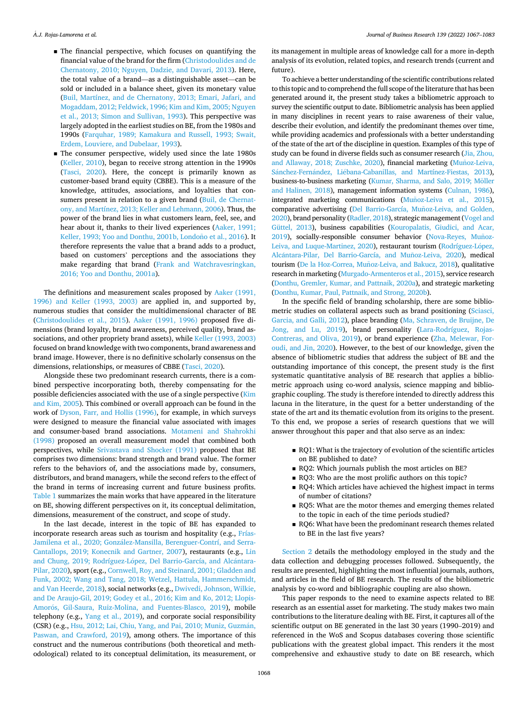- $\blacksquare$  The financial perspective, which focuses on quantifying the financial value of the brand for the firm ([Christodoulides and de](#page-14-0)  [Chernatony, 2010; Nguyen, Dadzie, and Davari, 2013](#page-14-0)). Here, the total value of a brand—as a distinguishable asset—can be sold or included in a balance sheet, given its monetary value [\(Buil, Martínez, and de Chernatony, 2013; Emari, Jafari, and](#page-13-0)  [Mogaddam, 2012; Feldwick, 1996; Kim and Kim, 2005; Nguyen](#page-13-0)  [et al., 2013; Simon and Sullivan, 1993\)](#page-13-0). This perspective was largely adopted in the earliest studies on BE, from the 1980s and 1990s ([Farquhar, 1989; Kamakura and Russell, 1993; Swait,](#page-14-0)  [Erdem, Louviere, and Dubelaar, 1993](#page-14-0)).
- **The consumer perspective, widely used since the late 1980s** [\(Keller, 2010\)](#page-14-0), began to receive strong attention in the 1990s [\(Tasci, 2020](#page-16-0)). Here, the concept is primarily known as customer-based brand equity (CBBE). This is a measure of the knowledge, attitudes, associations, and loyalties that con-sumers present in relation to a given brand [\(Buil, de Chernat](#page-13-0)[ony, and Martínez, 2013; Keller and Lehmann, 2006](#page-13-0)). Thus, the power of the brand lies in what customers learn, feel, see, and hear about it, thanks to their lived experiences ([Aaker, 1991;](#page-13-0)  Keller, 1993; Yoo and Donthu, 2001b, Londoño et al., 2016). It therefore represents the value that a brand adds to a product, based on customers' perceptions and the associations they make regarding that brand [\(Frank and Watchravesringkan,](#page-14-0)  [2016; Yoo and Donthu, 2001a](#page-14-0)).

The definitions and measurement scales proposed by [Aaker \(1991,](#page-13-0)  [1996\) and Keller \(1993, 2003\)](#page-13-0) are applied in, and supported by, numerous studies that consider the multidimensional character of BE ([Christodoulides et al., 2015\)](#page-14-0). [Aaker \(1991, 1996\)](#page-13-0) proposed five dimensions (brand loyalty, brand awareness, perceived quality, brand associations, and other propriety brand assets), while [Keller \(1993, 2003\)](#page-14-0)  focused on brand knowledge with two components, brand awareness and brand image. However, there is no definitive scholarly consensus on the dimensions, relationships, or measures of CBBE [\(Tasci, 2020\)](#page-16-0).

Alongside these two predominant research currents, there is a combined perspective incorporating both, thereby compensating for the possible deficiencies associated with the use of a single perspective (Kim [and Kim, 2005](#page-14-0)). This combined or overall approach can be found in the work of [Dyson, Farr, and Hollis \(1996\),](#page-14-0) for example, in which surveys were designed to measure the financial value associated with images and consumer-based brand associations. [Motameni and Shahrokhi](#page-15-0)  [\(1998\)](#page-15-0) proposed an overall measurement model that combined both perspectives, while [Srivastava and Shocker \(1991\)](#page-15-0) proposed that BE comprises two dimensions: brand strength and brand value. The former refers to the behaviors of, and the associations made by, consumers, distributors, and brand managers, while the second refers to the effect of the brand in terms of increasing current and future business profits. [Table 1](#page-2-0) summarizes the main works that have appeared in the literature on BE, showing different perspectives on it, its conceptual delimitation, dimensions, measurement of the construct, and scope of study.

In the last decade, interest in the topic of BE has expanded to incorporate research areas such as tourism and hospitality (e.g., [Frías-](#page-14-0)Jamilena et al., 2020; González-Mansilla, Berenguer-Contrí, and Serra-[Cantallops, 2019; Konecnik and Gartner, 2007\)](#page-14-0), restaurants (e.g., [Lin](#page-15-0)  and Chung, 2019; Rodríguez-López, Del Barrio-García, and Alcántara-[Pilar, 2020](#page-15-0)), sport (e.g., [Cornwell, Roy, and Steinard, 2001; Gladden and](#page-14-0)  [Funk, 2002; Wang and Tang, 2018; Wetzel, Hattula, Hammerschmidt,](#page-14-0)  [and Van Heerde, 2018](#page-14-0)), social networks (e.g., [Dwivedi, Johnson, Wilkie,](#page-14-0)  [and De Araujo-Gil, 2019; Godey et al., 2016; Kim and Ko, 2012; Llopis-](#page-14-0)Amorós, Gil-Saura, Ruiz-Molina, and Fuentes-Blasco, 2019), mobile telephony (e.g., [Yang et al., 2019\)](#page-16-0), and corporate social responsibility (CSR) (e.g., Hsu, 2012; Lai, Chiu, Yang, and Pai, 2010; Muniz, Guzmán, [Paswan, and Crawford, 2019\)](#page-14-0), among others. The importance of this construct and the numerous contributions (both theoretical and methodological) related to its conceptual delimitation, its measurement, or

its management in multiple areas of knowledge call for a more in-depth analysis of its evolution, related topics, and research trends (current and future).

To achieve a better understanding of the scientific contributions related to this topic and to comprehend the full scope of the literature that has been generated around it, the present study takes a bibliometric approach to survey the scientific output to date. Bibliometric analysis has been applied in many disciplines in recent years to raise awareness of their value, describe their evolution, and identify the predominant themes over time, while providing academics and professionals with a better understanding of the state of the art of the discipline in question. Examples of this type of study can be found in diverse fields such as consumer research ([Jia, Zhou,](#page-14-0)  [and Allaway, 2018; Zuschke, 2020](#page-14-0)), financial marketing (Muñoz-Leiva, Sánchez-Fernández, Liébana-Cabanillas, and Martínez-Fiestas, 2013), business-to-business marketing (Kumar, Sharma, and Salo, 2019; Möller [and Halinen, 2018\)](#page-15-0), management information systems [\(Culnan, 1986\)](#page-14-0), integrated marketing communications (Muñ[oz-Leiva et al., 2015\)](#page-15-0), comparative advertising (Del Barrio-García, Muñoz-Leiva, and Golden, [2020](#page-14-0)), brand personality ([Radler, 2018](#page-15-0)), strategic management ([Vogel and](#page-16-0)  [Güttel, 2013\)](#page-16-0), business capabilities ([Kouropalatis, Giudici, and Acar,](#page-15-0)  [2019](#page-15-0)), socially-responsible consumer behavior (Nova-Reyes, Muñoz-[Leiva, and Luque-Martinez, 2020](#page-15-0)), restaurant tourism (Rodríguez-López, Alcántara-Pilar, Del Barrio-García, and Muñoz-Leiva, 2020), medical tourism (De la Hoz-Correa, Muñ[oz-Leiva, and Bakucz, 2018](#page-14-0)), qualitative research in marketing ([Murgado-Armenteros et al., 2015\)](#page-15-0), service research [\(Donthu, Gremler, Kumar, and Pattnaik, 2020a\)](#page-14-0), and strategic marketing [\(Donthu, Kumar, Paul, Pattnaik, and Strong, 2020b\)](#page-14-0).

In the specific field of branding scholarship, there are some bibliometric studies on collateral aspects such as brand positioning ([Sciasci,](#page-15-0)  [Garcia, and Galli, 2012\)](#page-15-0), place branding ([Ma, Schraven, de Bruijne, De](#page-15-0)  [Jong, and Lu, 2019\)](#page-15-0), brand personality ([Lara-Rodríguez, Rojas-](#page-15-0)[Contreras, and Oliva, 2019\)](#page-15-0), or brand experience [\(Zha, Melewar, For](#page-16-0)[oudi, and Jin, 2020\)](#page-16-0). However, to the best of our knowledge, given the absence of bibliometric studies that address the subject of BE and the outstanding importance of this concept, the present study is the first systematic quantitative analysis of BE research that applies a bibliometric approach using co-word analysis, science mapping and bibliographic coupling. The study is therefore intended to directly address this lacuna in the literature, in the quest for a better understanding of the state of the art and its thematic evolution from its origins to the present. To this end, we propose a series of research questions that we will answer throughout this paper and that also serve as an index:

- RQ1: What is the trajectory of evolution of the scientific articles on BE published to date?
- RQ2: Which journals publish the most articles on BE?
- RQ3: Who are the most prolific authors on this topic?
- RQ4: Which articles have achieved the highest impact in terms of number of citations?
- RQ5: What are the motor themes and emerging themes related to the topic in each of the time periods studied?
- RQ6: What have been the predominant research themes related to BE in the last five years?

[Section 2](#page-3-0) details the methodology employed in the study and the data collection and debugging processes followed. Subsequently, the results are presented, highlighting the most influential journals, authors, and articles in the field of BE research. The results of the bibliometric analysis by co-word and bibliographic coupling are also shown.

This paper responds to the need to examine aspects related to BE research as an essential asset for marketing. The study makes two main contributions to the literature dealing with BE. First, it captures all of the scientific output on BE generated in the last 30 years (1990–2019) and referenced in the WoS and Scopus databases covering those scientific publications with the greatest global impact. This renders it the most comprehensive and exhaustive study to date on BE research, which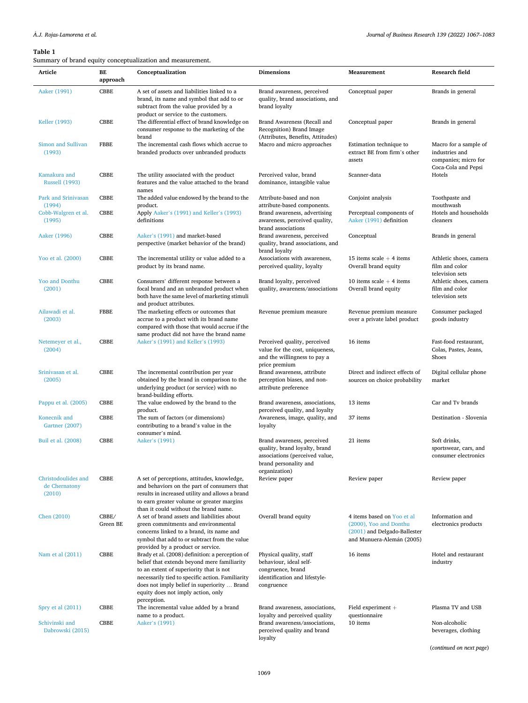<span id="page-2-0"></span>

| Article                                        | BЕ<br>approach    | Conceptualization                                                                                                                                                                                                                                                                                 | <b>Dimensions</b>                                                                                                                       | Measurement                                                                                                       | Research field                                                                         |
|------------------------------------------------|-------------------|---------------------------------------------------------------------------------------------------------------------------------------------------------------------------------------------------------------------------------------------------------------------------------------------------|-----------------------------------------------------------------------------------------------------------------------------------------|-------------------------------------------------------------------------------------------------------------------|----------------------------------------------------------------------------------------|
| Aaker (1991)                                   | CBBE              | A set of assets and liabilities linked to a<br>brand, its name and symbol that add to or<br>subtract from the value provided by a<br>product or service to the customers.                                                                                                                         | Brand awareness, perceived<br>quality, brand associations, and<br>brand loyalty                                                         | Conceptual paper                                                                                                  | Brands in general                                                                      |
| Keller (1993)                                  | CBBE              | The differential effect of brand knowledge on<br>consumer response to the marketing of the<br>brand                                                                                                                                                                                               | Brand Awareness (Recall and<br>Recognition) Brand Image                                                                                 | Conceptual paper                                                                                                  | Brands in general                                                                      |
| Simon and Sullivan<br>(1993)                   | <b>FBBE</b>       | The incremental cash flows which accrue to<br>branded products over unbranded products                                                                                                                                                                                                            | (Attributes, Benefits, Attitudes)<br>Macro and micro approaches                                                                         | Estimation technique to<br>extract BE from firm's other<br>assets                                                 | Macro for a sample of<br>industries and<br>companies; micro for<br>Coca-Cola and Pepsi |
| Kamakura and<br><b>Russell (1993)</b>          | <b>CBBE</b>       | The utility associated with the product<br>features and the value attached to the brand<br>names                                                                                                                                                                                                  | Perceived value, brand<br>dominance, intangible value                                                                                   | Scanner-data                                                                                                      | Hotels                                                                                 |
| Park and Srinivasan<br>(1994)                  | CBBE              | The added value endowed by the brand to the<br>product.                                                                                                                                                                                                                                           | Attribute-based and non<br>attribute-based components.                                                                                  | Conjoint analysis                                                                                                 | Toothpaste and<br>mouthwash                                                            |
| Cobb-Walgren et al.<br>(1995)                  | CBBE              | Apply Aaker's (1991) and Keller's (1993)<br>definitions                                                                                                                                                                                                                                           | Brand awareness, advertising<br>awareness, perceived quality,<br>brand associations                                                     | Perceptual components of<br>Aaker (1991) definition                                                               | Hotels and households<br>cleaners                                                      |
| Aaker (1996)                                   | CBBE              | Aaker's (1991) and market-based<br>perspective (market behavior of the brand)                                                                                                                                                                                                                     | Brand awareness, perceived<br>quality, brand associations, and<br>brand loyalty                                                         | Conceptual                                                                                                        | Brands in general                                                                      |
| Yoo et al. (2000)                              | CBBE              | The incremental utility or value added to a<br>product by its brand name.                                                                                                                                                                                                                         | Associations with awareness,<br>perceived quality, loyalty                                                                              | 15 items scale $+$ 4 items<br>Overall brand equity                                                                | Athletic shoes, camera<br>film and color<br>television sets                            |
| <b>Yoo and Donthu</b><br>(2001)                | CBBE              | Consumers' different response between a<br>focal brand and an unbranded product when<br>both have the same level of marketing stimuli<br>and product attributes.                                                                                                                                  | Brand loyalty, perceived<br>quality, awareness/associations                                                                             | 10 items scale $+$ 4 items<br>Overall brand equity                                                                | Athletic shoes, camera<br>film and color<br>television sets                            |
| Ailawadi et al.<br>(2003)                      | <b>FBBE</b>       | The marketing effects or outcomes that<br>accrue to a product with its brand name<br>compared with those that would accrue if the<br>same product did not have the brand name                                                                                                                     | Revenue premium measure                                                                                                                 | Revenue premium measure<br>over a private label product                                                           | Consumer packaged<br>goods industry                                                    |
| Netemeyer et al.,<br>(2004)                    | CBBE              | Aaker's (1991) and Keller's (1993)                                                                                                                                                                                                                                                                | Perceived quality, perceived<br>value for the cost, uniqueness,<br>and the willingness to pay a<br>price premium                        | 16 items                                                                                                          | Fast-food restaurant,<br>Colas, Pastes, Jeans,<br>Shoes                                |
| Srinivasan et al.<br>(2005)                    | CBBE              | The incremental contribution per year<br>obtained by the brand in comparison to the<br>underlying product (or service) with no<br>brand-building efforts.                                                                                                                                         | Brand awareness, attribute<br>perception biases, and non-<br>attribute preference                                                       | Direct and indirect effects of<br>sources on choice probability                                                   | Digital cellular phone<br>market                                                       |
| Pappu et al. (2005)                            | CBBE              | The value endowed by the brand to the<br>product.                                                                                                                                                                                                                                                 | Brand awareness, associations,<br>perceived quality, and loyalty                                                                        | 13 items                                                                                                          | Car and Tv brands                                                                      |
| Konecnik and<br>Gartner (2007)                 | CBBE              | The sum of factors (or dimensions)<br>contributing to a brand's value in the<br>consumer's mind.                                                                                                                                                                                                  | Awareness, image, quality, and<br>loyalty                                                                                               | 37 items                                                                                                          | Destination - Slovenia                                                                 |
| Buil et al. (2008)                             | CBBE              | Aaker's (1991)                                                                                                                                                                                                                                                                                    | Brand awareness, perceived<br>quality, brand loyalty, brand<br>associations (perceived value,<br>brand personality and<br>organization) | 21 items                                                                                                          | Soft drinks,<br>sportswear, cars, and<br>consumer electronics                          |
| Christodoulides and<br>de Chernatony<br>(2010) | CBBE              | A set of perceptions, attitudes, knowledge,<br>and behaviors on the part of consumers that<br>results in increased utility and allows a brand<br>to earn greater volume or greater margins<br>than it could without the brand name.                                                               | Review paper                                                                                                                            | Review paper                                                                                                      | Review paper                                                                           |
| Chen (2010)                                    | CBBE/<br>Green BE | A set of brand assets and liabilities about<br>green commitments and environmental<br>concerns linked to a brand, its name and<br>symbol that add to or subtract from the value<br>provided by a product or service.                                                                              | Overall brand equity                                                                                                                    | 4 items based on Yoo et al<br>(2000), Yoo and Donthu<br>(2001) and Delgado-Ballester<br>and Munuera-Alemán (2005) | Information and<br>electronics products                                                |
| Nam et al (2011)                               | <b>CBBE</b>       | Brady et al. (2008) definition: a perception of<br>belief that extends beyond mere familiarity<br>to an extent of superiority that is not<br>necessarily tied to specific action. Familiarity<br>does not imply belief in superiority  Brand<br>equity does not imply action, only<br>perception. | Physical quality, staff<br>behaviour, ideal self-<br>congruence, brand<br>identification and lifestyle-<br>congruence                   | 16 items                                                                                                          | Hotel and restaurant<br>industry                                                       |
| Spry et al (2011)                              | CBBE              | The incremental value added by a brand<br>name to a product.                                                                                                                                                                                                                                      | Brand awareness, associations,<br>loyalty and perceived quality                                                                         | Field experiment $+$<br>questionnaire                                                                             | Plasma TV and USB                                                                      |
| Schivinski and<br>Dabrowski (2015)             | CBBE              | Aaker's (1991)                                                                                                                                                                                                                                                                                    | Brand awareness/associations,<br>perceived quality and brand<br>loyalty                                                                 | 10 items                                                                                                          | Non-alcoholic<br>beverages, clothing                                                   |

(*continued on next page*)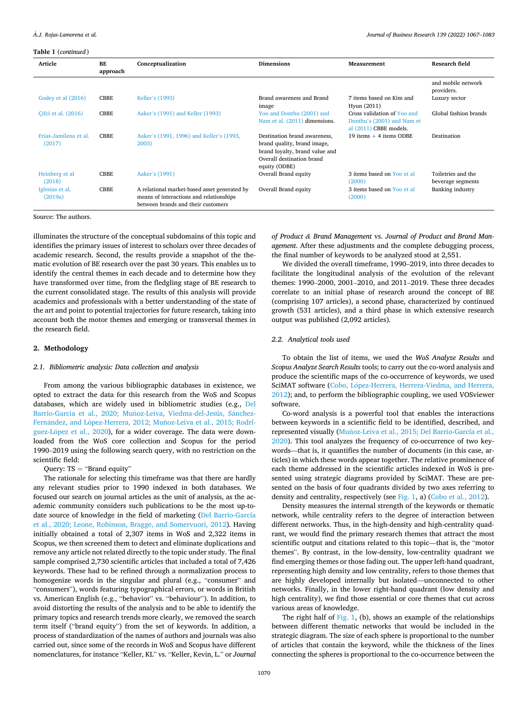*Journal of Business Research 139 (2022) 1067–1083*

<span id="page-3-0"></span>**Table 1** (*continued* )

| Article                         | <b>BE</b><br>approach | Conceptualization                                                                                                             | <b>Dimensions</b>                                                                                                                           | Measurement                                                                         | Research field                          |
|---------------------------------|-----------------------|-------------------------------------------------------------------------------------------------------------------------------|---------------------------------------------------------------------------------------------------------------------------------------------|-------------------------------------------------------------------------------------|-----------------------------------------|
|                                 |                       |                                                                                                                               |                                                                                                                                             |                                                                                     | and mobile network<br>providers.        |
| Godey et al (2016)              | <b>CBBE</b>           | Keller's (1993)                                                                                                               | Brand awareness and Brand<br>image                                                                                                          | 7 items based on Kim and<br>Hyun (2011)                                             | Luxury sector                           |
| Cifci et al. (2016)             | <b>CBBE</b>           | Aaker's (1991) and Keller (1993)                                                                                              | Yoo and Donthu (2001) and<br>Nam et al. (2011) dimensions.                                                                                  | Cross validation of Yoo and<br>Donthu's (2001) and Nam et<br>al (2011) CBBE models. | Global fashion brands                   |
| Frías-Jamilena et al.<br>(2017) | <b>CBBE</b>           | Aaker's (1991, 1996) and Keller's (1993,<br>2003)                                                                             | Destination brand awareness,<br>brand quality, brand image,<br>brand loyalty, brand value and<br>Overall destination brand<br>equity (ODBE) | 19 items $+$ 4 items ODBE                                                           | Destination                             |
| Heinberg et al<br>(2018)        | <b>CBBE</b>           | Aaker's (1991)                                                                                                                | Overall Brand equity                                                                                                                        | 3 items based on Yoo et al.<br>(2000)                                               | Toiletries and the<br>beverage segments |
| Iglesias et al.<br>(2019a)      | <b>CBBE</b>           | A relational market-based asset generated by<br>means of interactions and relationships<br>between brands and their customers | Overall Brand equity                                                                                                                        | 3 items based on Yoo et al.<br>(2000)                                               | Banking industry                        |

Source: The authors.

illuminates the structure of the conceptual subdomains of this topic and identifies the primary issues of interest to scholars over three decades of academic research. Second, the results provide a snapshot of the thematic evolution of BE research over the past 30 years. This enables us to identify the central themes in each decade and to determine how they have transformed over time, from the fledgling stage of BE research to the current consolidated stage. The results of this analysis will provide academics and professionals with a better understanding of the state of the art and point to potential trajectories for future research, taking into account both the motor themes and emerging or transversal themes in the research field.

# **2. Methodology**

# *2.1. Bibliometric analysis: Data collection and analysis*

From among the various bibliographic databases in existence, we opted to extract the data for this research from the WoS and Scopus databases, which are widely used in bibliometric studies (e.g., [Del](#page-14-0)  Barrio-Garcia et al., 2020; Muñoz-Leiva, Viedma-del-Jesús, Sánchez-Fernández, and López-Herrera, 2012; Muñoz-Leiva et al., 2015; Rodríguez-López et al., 2020), for a wider coverage. The data were downloaded from the WoS core collection and Scopus for the period 1990–2019 using the following search query, with no restriction on the scientific field:

# Query:  $TS = "Brand equity"$

The rationale for selecting this timeframe was that there are hardly any relevant studies prior to 1990 indexed in both databases. We focused our search on journal articles as the unit of analysis, as the academic community considers such publications to be the most up-todate source of knowledge in the field of marketing ([Del Barrio-García](#page-14-0)  [et al., 2020; Leone, Robinson, Bragge, and Somervuori, 2012](#page-14-0)). Having initially obtained a total of 2,307 items in WoS and 2,322 items in Scopus, we then screened them to detect and eliminate duplications and remove any article not related directly to the topic under study. The final sample comprised 2,730 scientific articles that included a total of 7,426 keywords. These had to be refined through a normalization process to homogenize words in the singular and plural (e.g., "consumer" and "consumers"), words featuring typographical errors, or words in British vs. American English (e.g., "behavior" vs. "behaviour"). In addition, to avoid distorting the results of the analysis and to be able to identify the primary topics and research trends more clearly, we removed the search term itself ("brand equity") from the set of keywords. In addition, a process of standardization of the names of authors and journals was also carried out, since some of the records in WoS and Scopus have different nomenclatures, for instance "Keller, KL" vs. "Keller, Kevin, L." or *Journal* 

*of Product & Brand Management* vs. *Journal of Product and Brand Management*. After these adjustments and the complete debugging process, the final number of keywords to be analyzed stood at 2,551.

We divided the overall timeframe, 1990–2019, into three decades to facilitate the longitudinal analysis of the evolution of the relevant themes: 1990–2000, 2001–2010, and 2011–2019. These three decades correlate to an initial phase of research around the concept of BE (comprising 107 articles), a second phase, characterized by continued growth (531 articles), and a third phase in which extensive research output was published (2,092 articles).

# *2.2. Analytical tools used*

To obtain the list of items, we used the *WoS Analyze Results* and *Scopus Analyze Search Results* tools; to carry out the co-word analysis and produce the scientific maps of the co-occurrence of keywords, we used SciMAT software (Cobo, López-Herrera, Herrera-Viedma, and Herrera, [2012\)](#page-14-0); and, to perform the bibliographic coupling, we used VOSviewer software.

Co-word analysis is a powerful tool that enables the interactions between keywords in a scientific field to be identified, described, and represented visually (Muñoz-Leiva et al., 2015; Del Barrio-García et al., [2020\)](#page-15-0). This tool analyzes the frequency of co-occurrence of two keywords—that is, it quantifies the number of documents (in this case, articles) in which these words appear together. The relative prominence of each theme addressed in the scientific articles indexed in WoS is presented using strategic diagrams provided by SciMAT. These are presented on the basis of four quadrants divided by two axes referring to density and centrality, respectively (see [Fig. 1](#page-4-0), a) [\(Cobo et al., 2012\)](#page-14-0).

Density measures the internal strength of the keywords or thematic network, while centrality refers to the degree of interaction between different networks. Thus, in the high-density and high-centrality quadrant, we would find the primary research themes that attract the most scientific output and citations related to this topic—that is, the "motor themes". By contrast, in the low-density, low-centrality quadrant we find emerging themes or those fading out. The upper left-hand quadrant, representing high density and low centrality, refers to those themes that are highly developed internally but isolated—unconnected to other networks. Finally, in the lower right-hand quadrant (low density and high centrality), we find those essential or core themes that cut across various areas of knowledge.

The right half of [Fig. 1,](#page-4-0) (b), shows an example of the relationships between different thematic networks that would be included in the strategic diagram. The size of each sphere is proportional to the number of articles that contain the keyword, while the thickness of the lines connecting the spheres is proportional to the co-occurrence between the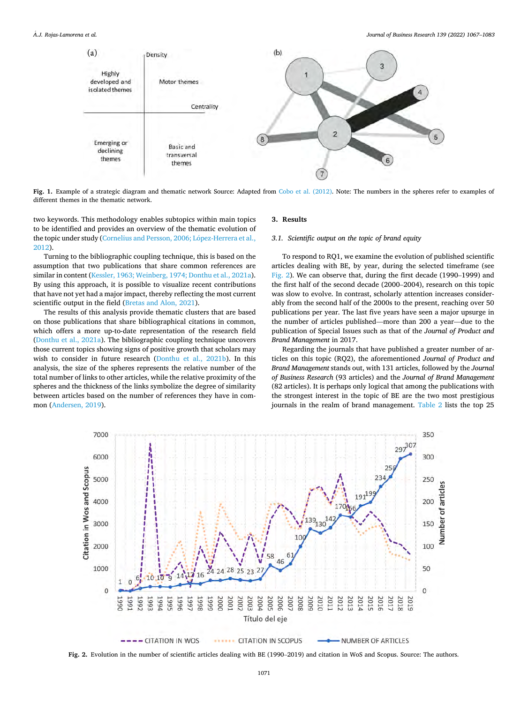<span id="page-4-0"></span>

**Fig. 1.** Example of a strategic diagram and thematic network Source: Adapted from [Cobo et al. \(2012\).](#page-14-0) Note: The numbers in the spheres refer to examples of different themes in the thematic network.

two keywords. This methodology enables subtopics within main topics to be identified and provides an overview of the thematic evolution of the topic under study (Cornelius and Persson, 2006; López-Herrera et al., [2012\)](#page-14-0).

Turning to the bibliographic coupling technique, this is based on the assumption that two publications that share common references are similar in content [\(Kessler, 1963; Weinberg, 1974; Donthu et al., 2021a](#page-14-0)). By using this approach, it is possible to visualize recent contributions that have not yet had a major impact, thereby reflecting the most current scientific output in the field [\(Bretas and Alon, 2021](#page-13-0)).

The results of this analysis provide thematic clusters that are based on those publications that share bibliographical citations in common, which offers a more up-to-date representation of the research field ([Donthu et al., 2021a\)](#page-14-0). The bibliographic coupling technique uncovers those current topics showing signs of positive growth that scholars may wish to consider in future research ([Donthu et al., 2021b](#page-14-0)). In this analysis, the size of the spheres represents the relative number of the total number of links to other articles, while the relative proximity of the spheres and the thickness of the links symbolize the degree of similarity between articles based on the number of references they have in common ([Andersen, 2019](#page-13-0)).

## **3. Results**

# *3.1. Scientific output on the topic of brand equity*

To respond to RQ1, we examine the evolution of published scientific articles dealing with BE, by year, during the selected timeframe (see Fig. 2). We can observe that, during the first decade (1990–1999) and the first half of the second decade (2000–2004), research on this topic was slow to evolve. In contrast, scholarly attention increases considerably from the second half of the 2000s to the present, reaching over 50 publications per year. The last five years have seen a major upsurge in the number of articles published—more than 200 a year—due to the publication of Special Issues such as that of the *Journal of Product and Brand Management* in 2017.

Regarding the journals that have published a greater number of articles on this topic (RQ2), the aforementioned *Journal of Product and Brand Management* stands out, with 131 articles, followed by the *Journal of Business Research* (93 articles) and the *Journal of Brand Management*  (82 articles). It is perhaps only logical that among the publications with the strongest interest in the topic of BE are the two most prestigious journals in the realm of brand management. [Table 2](#page-5-0) lists the top 25



**Fig. 2.** Evolution in the number of scientific articles dealing with BE (1990–2019) and citation in WoS and Scopus. Source: The authors.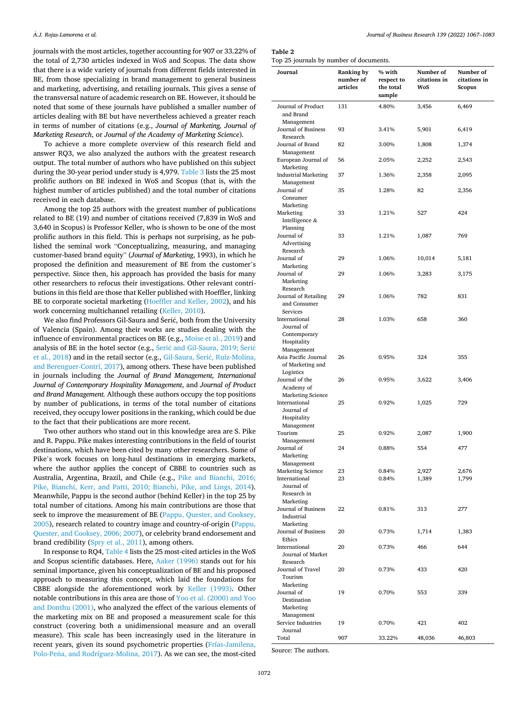<span id="page-5-0"></span>journals with the most articles, together accounting for 907 or 33.22% of the total of 2,730 articles indexed in WoS and Scopus. The data show that there is a wide variety of journals from different fields interested in BE, from those specializing in brand management to general business and marketing, advertising, and retailing journals. This gives a sense of the transversal nature of academic research on BE. However, it should be noted that some of these journals have published a smaller number of articles dealing with BE but have nevertheless achieved a greater reach in terms of number of citations (e.g., *Journal of Marketing, Journal of Marketing Research*, or *Journal of the Academy of Marketing Science*).

To achieve a more complete overview of this research field and answer RQ3, we also analyzed the authors with the greatest research output. The total number of authors who have published on this subject during the 30-year period under study is 4,979. [Table 3](#page-6-0) lists the 25 most prolific authors on BE indexed in WoS and Scopus (that is, with the highest number of articles published) and the total number of citations received in each database.

Among the top 25 authors with the greatest number of publications related to BE (19) and number of citations received (7,839 in WoS and 3,640 in Scopus) is Professor Keller, who is shown to be one of the most prolific authors in this field. This is perhaps not surprising, as he published the seminal work "Conceptualizing, measuring, and managing customer-based brand equity" (*Journal of Marketing*, 1993), in which he proposed the definition and measurement of BE from the customer's perspective. Since then, his approach has provided the basis for many other researchers to refocus their investigations. Other relevant contributions in this field are those that Keller published with Hoeffler, linking BE to corporate societal marketing [\(Hoeffler and Keller, 2002](#page-14-0)), and his work concerning multichannel retailing [\(Keller, 2010\)](#page-14-0).

We also find Professors Gil-Saura and Šerić, both from the University of Valencia (Spain). Among their works are studies dealing with the influence of environmental practices on BE (e.g., [Moise et al., 2019\)](#page-15-0) and analysis of BE in the hotel sector (e.g., Šerić and Gil-Saura, 2019; Šerić [et al., 2018](#page-15-0)) and in the retail sector (e.g., Gil-Saura, Šerić, Ruiz-Molina, [and Berenguer-Contrí, 2017](#page-14-0)), among others. These have been published in journals including the *Journal of Brand Management, International Journal of Contemporary Hospitality Management*, and *Journal of Product and Brand Management.* Although these authors occupy the top positions by number of publications, in terms of the total number of citations received, they occupy lower positions in the ranking, which could be due to the fact that their publications are more recent.

Two other authors who stand out in this knowledge area are S. Pike and R. Pappu. Pike makes interesting contributions in the field of tourist destinations, which have been cited by many other researchers. Some of Pike's work focuses on long-haul destinations in emerging markets, where the author applies the concept of CBBE to countries such as Australia, Argentina, Brazil, and Chile (e.g., [Pike and Bianchi, 2016;](#page-15-0)  [Pike, Bianchi, Kerr, and Patti, 2010; Bianchi, Pike, and Lings, 2014](#page-15-0)). Meanwhile, Pappu is the second author (behind Keller) in the top 25 by total number of citations. Among his main contributions are those that seek to improve the measurement of BE [\(Pappu, Quester, and Cooksey,](#page-15-0)  [2005\)](#page-15-0), research related to country image and country-of-origin [\(Pappu,](#page-15-0)  [Quester, and Cooksey, 2006; 2007](#page-15-0)), or celebrity brand endorsement and brand credibility [\(Spry et al., 2011\)](#page-15-0), among others.

In response to RQ4, [Table 4](#page-7-0) lists the 25 most-cited articles in the WoS and Scopus scientific databases. Here, [Aaker \(1996\)](#page-13-0) stands out for his seminal importance, given his conceptualization of BE and his proposed approach to measuring this concept, which laid the foundations for CBBE alongside the aforementioned work by [Keller \(1993\).](#page-14-0) Other notable contributions in this area are those of [Yoo et al. \(2000\) and Yoo](#page-16-0)  [and Donthu \(2001\),](#page-16-0) who analyzed the effect of the various elements of the marketing mix on BE and proposed a measurement scale for this construct (covering both a unidimensional measure and an overall measure). This scale has been increasingly used in the literature in recent years, given its sound psychometric properties ([Frías-Jamilena,](#page-14-0)  Polo-Peña, and Rodríguez-Molina, 2017). As we can see, the most-cited

| Journal of Business Research 139 (2022) 1067-1083 |  |  |  |  |  |
|---------------------------------------------------|--|--|--|--|--|
|---------------------------------------------------|--|--|--|--|--|

**Table 2** 

Top 25 journals by number of documents.

| Journal                                                                | Ranking by<br>number of<br>articles | % with<br>respect to<br>the total<br>sample | Number of<br>citations in<br>WoS | Number of<br>citations in<br>Scopus |
|------------------------------------------------------------------------|-------------------------------------|---------------------------------------------|----------------------------------|-------------------------------------|
| Journal of Product<br>and Brand                                        | 131                                 | 4.80%                                       | 3,456                            | 6,469                               |
| Management<br>Journal of Business<br>Research                          | 93                                  | 3.41%                                       | 5,901                            | 6,419                               |
| Journal of Brand<br>Management                                         | 82                                  | 3.00%                                       | 1,808                            | 1,374                               |
| European Journal of<br>Marketing                                       | 56                                  | 2.05%                                       | 2,252                            | 2,543                               |
| <b>Industrial Marketing</b><br>Management                              | 37                                  | 1.36%                                       | 2,358                            | 2,095                               |
| Journal of<br>Consumer                                                 | 35                                  | 1.28%                                       | 82                               | 2,356                               |
| Marketing<br>Marketing<br>Intelligence &                               | 33                                  | 1.21%                                       | 527                              | 424                                 |
| Planning<br>Journal of<br>Advertising                                  | 33                                  | 1.21%                                       | 1,087                            | 769                                 |
| Research<br>Journal of                                                 | 29                                  | 1.06%                                       | 10,014                           | 5,181                               |
| Marketing<br>Journal of<br>Marketing                                   | 29                                  | 1.06%                                       | 3,283                            | 3,175                               |
| Research<br>Journal of Retailing<br>and Consumer<br>Services           | 29                                  | 1.06%                                       | 782                              | 831                                 |
| International<br>Journal of<br>Contemporary                            | 28                                  | 1.03%                                       | 658                              | 360                                 |
| Hospitality<br>Management<br>Asia Pacific Journal<br>of Marketing and  | 26                                  | 0.95%                                       | 324                              | 355                                 |
| Logistics<br>Journal of the<br>Academy of                              | 26                                  | 0.95%                                       | 3,622                            | 3,406                               |
| <b>Marketing Science</b><br>International<br>Journal of<br>Hospitality | 25                                  | 0.92%                                       | 1,025                            | 729                                 |
| Management<br>Tourism<br>Management                                    | 25                                  | 0.92%                                       | 2,087                            | 1,900                               |
| Journal of<br>Marketing                                                | 24                                  | 0.88%                                       | 554                              | 477                                 |
| Management<br><b>Marketing Science</b>                                 | 23                                  | 0.84%                                       | 2,927                            | 2,676                               |
| International<br>Journal of                                            | 23                                  | 0.84%                                       | 1,389                            | 1,799                               |
| Research in<br>Marketing                                               |                                     |                                             |                                  |                                     |
| Journal of Business<br>Industrial                                      | 22                                  | 0.81%                                       | 313                              | 277                                 |
| Marketing<br>Journal of Business<br>Ethics                             | 20                                  | 0.73%                                       | 1,714                            | 1,383                               |
| International<br>Journal of Market<br>Research                         | 20                                  | 0.73%                                       | 466                              | 644                                 |
| Journal of Travel<br>Tourism                                           | 20                                  | 0.73%                                       | 433                              | 420                                 |
| Marketing<br>Journal of<br>Destination<br>Marketing                    | 19                                  | 0.70%                                       | 553                              | 339                                 |
| Management<br>Service Industries<br>Journal                            | 19                                  | 0.70%                                       | 421                              | 402                                 |
| Total                                                                  | 907                                 | 33.22%                                      | 48,036                           | 46,803                              |

Source: The authors.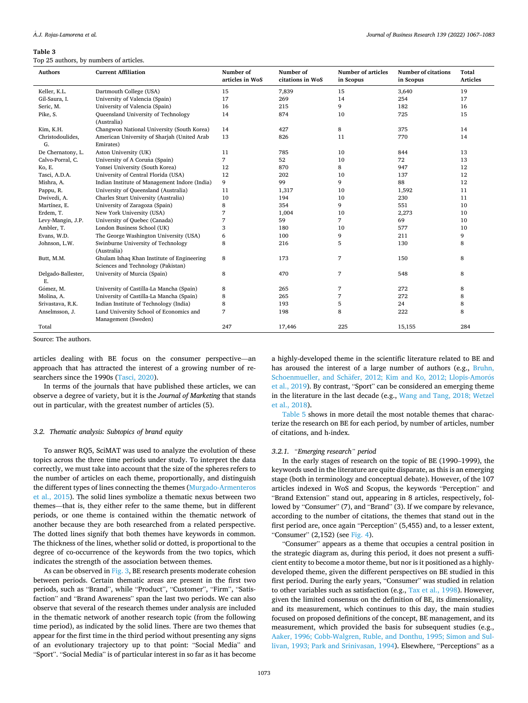<span id="page-6-0"></span>Top 25 authors, by numbers of articles.

| <b>Authors</b>           | <b>Current Affiliation</b>                                                       | Number of<br>articles in WoS | Number of<br>citations in WoS | <b>Number of articles</b><br>in Scopus | <b>Number of citations</b><br>in Scopus | Total<br><b>Articles</b> |
|--------------------------|----------------------------------------------------------------------------------|------------------------------|-------------------------------|----------------------------------------|-----------------------------------------|--------------------------|
| Keller, K.L.             | Dartmouth College (USA)                                                          | 15                           | 7,839                         | 15                                     | 3,640                                   | 19                       |
| Gil-Saura, I.            | University of Valencia (Spain)                                                   | 17                           | 269                           | 14                                     | 254                                     | 17                       |
| Seric, M.                | University of Valencia (Spain)                                                   | 16                           | 215                           | 9                                      | 182                                     | 16                       |
| Pike, S.                 | Queensland University of Technology                                              | 14                           | 874                           | 10                                     | 725                                     | 15                       |
|                          | (Australia)                                                                      |                              |                               |                                        |                                         |                          |
| Kim, K.H.                | Changwon National University (South Korea)                                       | 14                           | 427                           | 8                                      | 375                                     | 14                       |
| Christodoulides,<br>G.   | American University of Sharjah (United Arab<br>Emirates)                         | 13                           | 826                           | 11                                     | 770                                     | 14                       |
| De Chernatony, L.        | Aston University (UK)                                                            | 11                           | 785                           | 10                                     | 844                                     | 13                       |
| Calvo-Porral, C.         | University of A Coruña (Spain)                                                   | 7                            | 52                            | 10                                     | 72                                      | 13                       |
| Ko, E.                   | Yonsei University (South Korea)                                                  | 12                           | 870                           | 8                                      | 947                                     | 12                       |
| Tasci, A.D.A.            | University of Central Florida (USA)                                              | 12                           | 202                           | 10                                     | 137                                     | 12                       |
| Mishra, A.               | Indian Institute of Management Indore (India)                                    | 9                            | 99                            | 9                                      | 88                                      | 12                       |
| Pappu, R.                | University of Queensland (Australia)                                             | 11                           | 1,317                         | 10                                     | 1,592                                   | 11                       |
| Dwivedi, A.              | Charles Sturt University (Australia)                                             | 10                           | 194                           | 10                                     | 230                                     | 11                       |
| Martínez, E.             | University of Zaragoza (Spain)                                                   | 8                            | 354                           | 9                                      | 551                                     | 10                       |
| Erdem, T.                | New York University (USA)                                                        | 7                            | 1,004                         | 10                                     | 2,273                                   | 10                       |
| Levy-Mangin, J.P.        | University of Quebec (Canada)                                                    | 7                            | 59                            | $\overline{7}$                         | 69                                      | 10                       |
| Ambler, T.               | London Business School (UK)                                                      | 3                            | 180                           | 10                                     | 577                                     | 10                       |
| Evans, W.D.              | The George Washington University (USA)                                           | 6                            | 100                           | 9                                      | 211                                     | 9                        |
| Johnson, L.W.            | Swinburne University of Technology<br>(Australia)                                | 8                            | 216                           | 5                                      | 130                                     | 8                        |
| Butt, M.M.               | Ghulam Ishaq Khan Institute of Engineering<br>Sciences and Technology (Pakistan) | 8                            | 173                           | 7                                      | 150                                     | 8                        |
| Delgado-Ballester,<br>Ε. | University of Murcia (Spain)                                                     | 8                            | 470                           | $\overline{7}$                         | 548                                     | 8                        |
| Gómez, M.                | University of Castilla-La Mancha (Spain)                                         | 8                            | 265                           | 7                                      | 272                                     | 8                        |
| Molina, A.               | University of Castilla-La Mancha (Spain)                                         | 8                            | 265                           | 7                                      | 272                                     | 8                        |
| Srivastava, R.K.         | Indian Institute of Technology (India)                                           | 8                            | 193                           | 5                                      | 24                                      | 8                        |
| Anselmsson, J.           | Lund University School of Economics and                                          | 7                            | 198                           | 8                                      | 222                                     | 8                        |
|                          | Management (Sweden)                                                              |                              |                               |                                        |                                         |                          |
| Total                    |                                                                                  | 247                          | 17,446                        | 225                                    | 15,155                                  | 284                      |

Source: The authors.

articles dealing with BE focus on the consumer perspective—an approach that has attracted the interest of a growing number of researchers since the 1990s ([Tasci, 2020\)](#page-16-0).

In terms of the journals that have published these articles, we can observe a degree of variety, but it is the *Journal of Marketing* that stands out in particular, with the greatest number of articles (5).

#### *3.2. Thematic analysis: Subtopics of brand equity*

To answer RQ5, SciMAT was used to analyze the evolution of these topics across the three time periods under study. To interpret the data correctly, we must take into account that the size of the spheres refers to the number of articles on each theme, proportionally, and distinguish the different types of lines connecting the themes ([Murgado-Armenteros](#page-15-0)  [et al., 2015\)](#page-15-0). The solid lines symbolize a thematic nexus between two themes—that is, they either refer to the same theme, but in different periods, or one theme is contained within the thematic network of another because they are both researched from a related perspective. The dotted lines signify that both themes have keywords in common. The thickness of the lines, whether solid or dotted, is proportional to the degree of co-occurrence of the keywords from the two topics, which indicates the strength of the association between themes.

As can be observed in [Fig. 3](#page-8-0), BE research presents moderate cohesion between periods. Certain thematic areas are present in the first two periods, such as "Brand", while "Product", "Customer", "Firm", "Satisfaction" and "Brand Awareness" span the last two periods. We can also observe that several of the research themes under analysis are included in the thematic network of another research topic (from the following time period), as indicated by the solid lines. There are two themes that appear for the first time in the third period without presenting any signs of an evolutionary trajectory up to that point: "Social Media" and "Sport". "Social Media" is of particular interest in so far as it has become

a highly-developed theme in the scientific literature related to BE and has aroused the interest of a large number of authors (e.g., [Bruhn,](#page-13-0)  Schoenmueller, and Schäfer, 2012; Kim and Ko, 2012; Llopis-Amorós [et al., 2019](#page-13-0)). By contrast, "Sport" can be considered an emerging theme in the literature in the last decade (e.g., [Wang and Tang, 2018; Wetzel](#page-16-0)  [et al., 2018\)](#page-16-0).

[Table 5](#page-9-0) shows in more detail the most notable themes that characterize the research on BE for each period, by number of articles, number of citations, and h-index.

# *3.2.1. "Emerging research" period*

In the early stages of research on the topic of BE (1990–1999), the keywords used in the literature are quite disparate, as this is an emerging stage (both in terminology and conceptual debate). However, of the 107 articles indexed in WoS and Scopus, the keywords "Perception" and "Brand Extension" stand out, appearing in 8 articles, respectively, followed by "Consumer" (7), and "Brand" (3). If we compare by relevance, according to the number of citations, the themes that stand out in the first period are, once again "Perception" (5,455) and, to a lesser extent, "Consumer" (2,152) (see [Fig. 4](#page-9-0)).

"Consumer" appears as a theme that occupies a central position in the strategic diagram as, during this period, it does not present a sufficient entity to become a motor theme, but nor is it positioned as a highlydeveloped theme, given the different perspectives on BE studied in this first period. During the early years, "Consumer" was studied in relation to other variables such as satisfaction (e.g., [Tax et al., 1998](#page-16-0)). However, given the limited consensus on the definition of BE, its dimensionality, and its measurement, which continues to this day, the main studies focused on proposed definitions of the concept, BE management, and its measurement, which provided the basis for subsequent studies (e.g., [Aaker, 1996; Cobb-Walgren, Ruble, and Donthu, 1995; Simon and Sul](#page-13-0)[livan, 1993; Park and Srinivasan, 1994](#page-13-0)). Elsewhere, "Perceptions" as a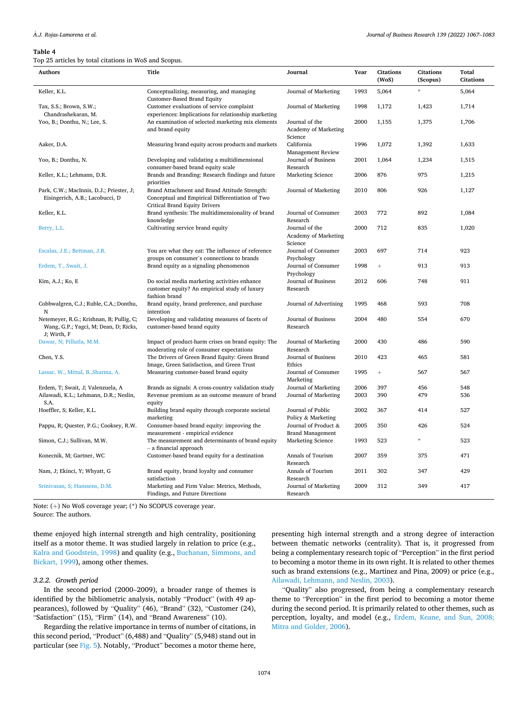<span id="page-7-0"></span>Top 25 articles by total citations in WoS and Scopus.

| <b>Authors</b>                                                                                   | <b>Title</b>                                                                                      | Journal                                                  | Year | <b>Citations</b> | <b>Citations</b> | <b>Total</b>     |
|--------------------------------------------------------------------------------------------------|---------------------------------------------------------------------------------------------------|----------------------------------------------------------|------|------------------|------------------|------------------|
|                                                                                                  |                                                                                                   |                                                          |      | (WoS)            | (Scopus)         | <b>Citations</b> |
| Keller, K.L.                                                                                     | Conceptualizing, measuring, and managing<br>Customer-Based Brand Equity                           | Journal of Marketing                                     | 1993 | 5,064            | $\frac{1}{N}$    | 5,064            |
| Tax, S.S.; Brown, S.W.;<br>Chandrashekaran, M.                                                   | Customer evaluations of service complaint<br>experiences: Implications for relationship marketing | Journal of Marketing                                     | 1998 | 1,172            | 1,423            | 1,714            |
| Yoo, B.; Donthu, N.; Lee, S.                                                                     | An examination of selected marketing mix elements                                                 | Journal of the                                           | 2000 | 1,155            | 1,375            | 1,706            |
|                                                                                                  | and brand equity                                                                                  | <b>Academy of Marketing</b><br>Science                   |      |                  |                  |                  |
| Aaker, D.A.                                                                                      | Measuring brand equity across products and markets                                                | California<br><b>Management Review</b>                   | 1996 | 1,072            | 1,392            | 1,633            |
| Yoo, B.; Donthu, N.                                                                              | Developing and validating a multidimensional<br>consumer-based brand equity scale                 | Journal of Business<br>Research                          | 2001 | 1,064            | 1,234            | 1,515            |
| Keller, K.L.; Lehmann, D.R.                                                                      | Brands and Branding: Research findings and future<br>priorities                                   | <b>Marketing Science</b>                                 | 2006 | 876              | 975              | 1,215            |
| Park, C.W.; MacInnis, D.J.; Priester, J;                                                         | Brand Attachment and Brand Attitude Strength:                                                     | Journal of Marketing                                     | 2010 | 806              | 926              | 1,127            |
| Eisingerich, A.B.; Lacobucci, D                                                                  | Conceptual and Empirical Differentiation of Two<br>Critical Brand Equity Drivers                  |                                                          |      |                  |                  |                  |
| Keller, K.L.                                                                                     | Brand synthesis: The multidimensionality of brand<br>knowledge                                    | Journal of Consumer<br>Research                          | 2003 | 772              | 892              | 1,084            |
| Berry, L.L.                                                                                      | Cultivating service brand equity                                                                  | Journal of the<br><b>Academy of Marketing</b><br>Science | 2000 | 712              | 835              | 1,020            |
| Escalas, J.E.; Bettman, J.R.                                                                     | You are what they eat: The influence of reference<br>groups on consumer's connections to brands   | Journal of Consumer<br>Psychology                        | 2003 | 697              | 714              | 923              |
| Erdem, T., Swait, J.                                                                             | Brand equity as a signaling phenomenon                                                            | Journal of Consumer<br>Psychology                        | 1998 | $+$              | 913              | 913              |
| Kim, A.J.; Ko, E                                                                                 | Do social media marketing activities enhance                                                      | Journal of Business                                      | 2012 | 606              | 748              | 911              |
|                                                                                                  | customer equity? An empirical study of luxury<br>fashion brand                                    | Research                                                 |      |                  |                  |                  |
| Cobbwalgren, C.J.; Ruble, C.A.; Donthu,<br>N                                                     | Brand equity, brand preference, and purchase<br>intention                                         | Journal of Advertising                                   | 1995 | 468              | 593              | 708              |
| Netemeyer, R.G.; Krishnan, B; Pullig, C;<br>Wang, G.P.; Yagci, M; Dean, D; Ricks,<br>J; Wirth, F | Developing and validating measures of facets of<br>customer-based brand equity                    | Journal of Business<br>Research                          | 2004 | 480              | 554              | 670              |
| Dawar, N; Pillutla, M.M.                                                                         | Impact of product-harm crises on brand equity: The<br>moderating role of consumer expectations    | Journal of Marketing<br>Research                         | 2000 | 430              | 486              | 590              |
| Chen, Y.S.                                                                                       | The Drivers of Green Brand Equity: Green Brand<br>Image, Green Satisfaction, and Green Trust      | Journal of Business<br>Ethics                            | 2010 | 423              | 465              | 581              |
| Lassar, W., Mittal, B., Sharma, A.                                                               | Measuring customer-based brand equity                                                             | Journal of Consumer<br>Marketing                         | 1995 | $\! + \!\!\!\!$  | 567              | 567              |
| Erdem, T; Swait, J; Valenzuela, A                                                                | Brands as signals: A cross-country validation study                                               | Journal of Marketing                                     | 2006 | 397              | 456              | 548              |
| Ailawadi, K.L.; Lehmann, D.R.; Neslin,<br>S.A.                                                   | Revenue premium as an outcome measure of brand<br>equity                                          | Journal of Marketing                                     | 2003 | 390              | 479              | 536              |
| Hoeffler, S; Keller, K.L.                                                                        | Building brand equity through corporate societal<br>marketing                                     | Journal of Public<br>Policy & Marketing                  | 2002 | 367              | 414              | 527              |
| Pappu, R; Quester, P.G.; Cooksey, R.W.                                                           | Consumer-based brand equity: improving the<br>measurement - empirical evidence                    | Journal of Product &<br><b>Brand Management</b>          | 2005 | 350              | 426              | 524              |
| Simon, C.J.; Sullivan, M.W.                                                                      | The measurement and determinants of brand equity<br>- a financial approach                        | Marketing Science                                        | 1993 | 523              | ÷.               | 523              |
| Konecnik, M; Gartner, WC                                                                         | Customer-based brand equity for a destination                                                     | Annals of Tourism<br>Research                            | 2007 | 359              | 375              | 471              |
| Nam, J; Ekinci, Y; Whyatt, G                                                                     | Brand equity, brand loyalty and consumer<br>satisfaction                                          | Annals of Tourism<br>Research                            | 2011 | 302              | 347              | 429              |
| Srinivasan, S; Hanssens, D.M.                                                                    | Marketing and Firm Value: Metrics, Methods,<br>Findings, and Future Directions                    | Journal of Marketing<br>Research                         | 2009 | 312              | 349              | 417              |

Note: (+) No WoS coverage year; (\*) No SCOPUS coverage year. Source: The authors.

theme enjoyed high internal strength and high centrality, positioning itself as a motor theme. It was studied largely in relation to price (e.g., [Kalra and Goodstein, 1998\)](#page-14-0) and quality (e.g., [Buchanan, Simmons, and](#page-13-0)  [Bickart, 1999](#page-13-0)), among other themes.

#### *3.2.2. Growth period*

In the second period (2000–2009), a broader range of themes is identified by the bibliometric analysis, notably "Product" (with 49 appearances), followed by "Quality" (46), "Brand" (32), "Customer (24), "Satisfaction" (15), "Firm" (14), and "Brand Awareness" (10).

Regarding the relative importance in terms of number of citations, in this second period, "Product" (6,488) and "Quality" (5,948) stand out in particular (see [Fig. 5\)](#page-10-0). Notably, "Product" becomes a motor theme here,

presenting high internal strength and a strong degree of interaction between thematic networks (centrality). That is, it progressed from being a complementary research topic of "Perception" in the first period to becoming a motor theme in its own right. It is related to other themes such as brand extensions (e.g., Martinez and Pina, 2009) or price (e.g., [Ailawadi, Lehmann, and Neslin, 2003](#page-13-0)).

"Quality" also progressed, from being a complementary research theme to "Perception" in the first period to becoming a motor theme during the second period. It is primarily related to other themes, such as perception, loyalty, and model (e.g., [Erdem, Keane, and Sun, 2008;](#page-14-0)  [Mitra and Golder, 2006](#page-14-0)).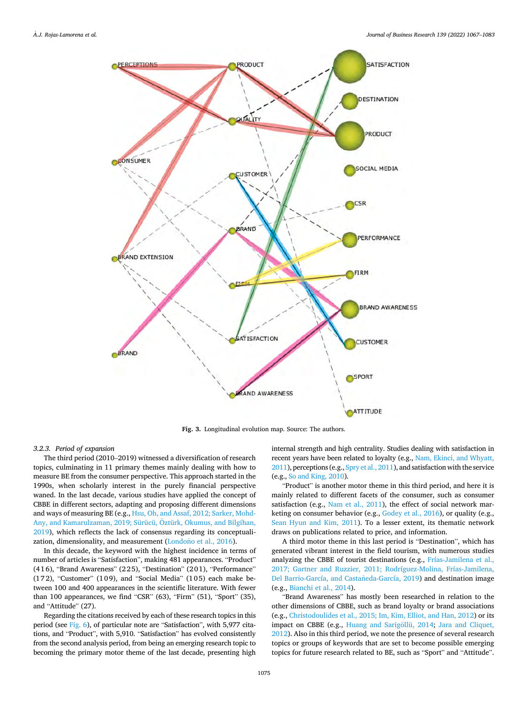<span id="page-8-0"></span>

**Fig. 3.** Longitudinal evolution map. Source: The authors.

#### *3.2.3. Period of expansion*

The third period (2010–2019) witnessed a diversification of research topics, culminating in 11 primary themes mainly dealing with how to measure BE from the consumer perspective. This approach started in the 1990s, when scholarly interest in the purely financial perspective waned. In the last decade, various studies have applied the concept of CBBE in different sectors, adapting and proposing different dimensions and ways of measuring BE (e.g., [Hsu, Oh, and Assaf, 2012; Sarker, Mohd-](#page-14-0)Any, and Kamarulzaman, 2019; Sürücü, Öztürk, Okumus, and Bilgihan, [2019\)](#page-14-0), which reflects the lack of consensus regarding its conceptuali-zation, dimensionality, and measurement [\(Londono et al., 2016](#page-15-0)).

In this decade, the keyword with the highest incidence in terms of number of articles is "Satisfaction", making 481 appearances. "Product" (416), "Brand Awareness" (225), "Destination" (201), "Performance" (172), "Customer" (109), and "Social Media" (105) each make between 100 and 400 appearances in the scientific literature. With fewer than 100 appearances, we find "CSR" (63), "Firm" (51), "Sport" (35), and "Attitude" (27).

Regarding the citations received by each of these research topics in this period (see [Fig. 6](#page-11-0)), of particular note are "Satisfaction", with 5,977 citations, and "Product", with 5,910. "Satisfaction" has evolved consistently from the second analysis period, from being an emerging research topic to becoming the primary motor theme of the last decade, presenting high

internal strength and high centrality. Studies dealing with satisfaction in recent years have been related to loyalty (e.g., [Nam, Ekinci, and Whyatt,](#page-15-0)  [2011](#page-15-0)), perceptions (e.g., [Spry et al., 2011](#page-15-0)), and satisfaction with the service (e.g., [So and King, 2010](#page-15-0)).

"Product" is another motor theme in this third period, and here it is mainly related to different facets of the consumer, such as consumer satisfaction (e.g., [Nam et al., 2011](#page-15-0)), the effect of social network marketing on consumer behavior (e.g., [Godey et al., 2016\)](#page-14-0), or quality (e.g., [Sean Hyun and Kim, 2011\)](#page-15-0). To a lesser extent, its thematic network draws on publications related to price, and information.

A third motor theme in this last period is "Destination", which has generated vibrant interest in the field tourism, with numerous studies analyzing the CBBE of tourist destinations (e.g., [Frías-Jamilena et al.,](#page-14-0)  [2017; Gartner and Ruzzier, 2011; Rodríguez-Molina, Frías-Jamilena,](#page-14-0)  Del Barrio-García, and Castañeda-García, 2019) and destination image (e.g., [Bianchi et al., 2014\)](#page-13-0).

"Brand Awareness" has mostly been researched in relation to the other dimensions of CBBE, such as brand loyalty or brand associations (e.g., [Christodoulides et al., 2015; Im, Kim, Elliot, and Han, 2012\)](#page-14-0) or its impact on CBBE (e.g., Huang and Sarigöllü, 2014; Jara and Cliquet, [2012\)](#page-14-0). Also in this third period, we note the presence of several research topics or groups of keywords that are set to become possible emerging topics for future research related to BE, such as "Sport" and "Attitude".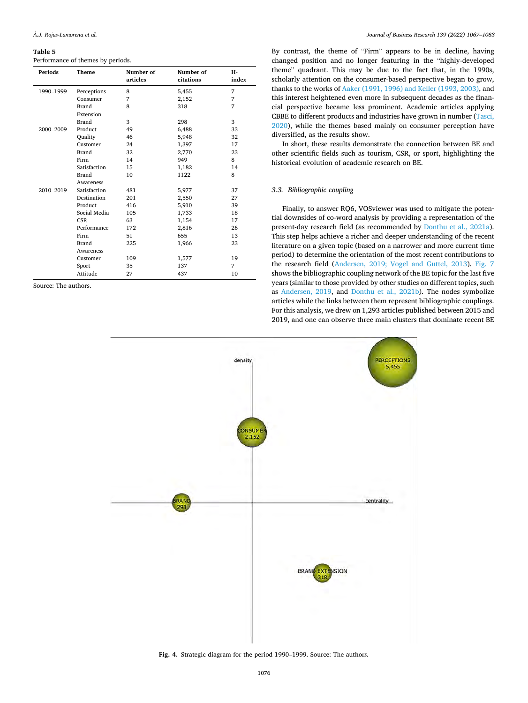#### <span id="page-9-0"></span>Performance of themes by periods.

| <b>Periods</b> | Theme        | Number of<br>articles | Number of<br>citations | H-<br>index |
|----------------|--------------|-----------------------|------------------------|-------------|
| 1990-1999      | Perceptions  | 8                     | 5,455                  | 7           |
|                | Consumer     | 7                     | 2,152                  | 7           |
|                | <b>Brand</b> | 8                     | 318                    | 7           |
|                | Extension    |                       |                        |             |
|                | <b>Brand</b> | 3                     | 298                    | 3           |
| 2000-2009      | Product      | 49                    | 6,488                  | 33          |
|                | Ouality      | 46                    | 5,948                  | 32          |
|                | Customer     | 24                    | 1,397                  | 17          |
|                | <b>Brand</b> | 32                    | 2,770                  | 23          |
|                | Firm         | 14                    | 949                    | 8           |
|                | Satisfaction | 15                    | 1,182                  | 14          |
|                | Brand        | 10                    | 1122                   | 8           |
|                | Awareness    |                       |                        |             |
| 2010-2019      | Satisfaction | 481                   | 5,977                  | 37          |
|                | Destination  | 201                   | 2,550                  | 27          |
|                | Product      | 416                   | 5,910                  | 39          |
|                | Social Media | 105                   | 1,733                  | 18          |
|                | <b>CSR</b>   | 63                    | 1,154                  | 17          |
|                | Performance  | 172                   | 2,816                  | 26          |
|                | Firm         | 51                    | 655                    | 13          |
|                | Brand        | 225                   | 1,966                  | 23          |
|                | Awareness    |                       |                        |             |
|                | Customer     | 109                   | 1,577                  | 19          |
|                | Sport        | 35                    | 137                    | 7           |
|                | Attitude     | 27                    | 437                    | 10          |

Source: The authors.

By contrast, the theme of "Firm" appears to be in decline, having changed position and no longer featuring in the "highly-developed theme" quadrant. This may be due to the fact that, in the 1990s, scholarly attention on the consumer-based perspective began to grow, thanks to the works of [Aaker \(1991, 1996\) and Keller \(1993, 2003\)](#page-13-0), and this interest heightened even more in subsequent decades as the financial perspective became less prominent. Academic articles applying CBBE to different products and industries have grown in number [\(Tasci,](#page-16-0)  [2020\)](#page-16-0), while the themes based mainly on consumer perception have diversified, as the results show.

In short, these results demonstrate the connection between BE and other scientific fields such as tourism, CSR, or sport, highlighting the historical evolution of academic research on BE.

# *3.3. Bibliographic coupling*

Finally, to answer RQ6, VOSviewer was used to mitigate the potential downsides of co-word analysis by providing a representation of the present-day research field (as recommended by [Donthu et al., 2021a](#page-14-0)). This step helps achieve a richer and deeper understanding of the recent literature on a given topic (based on a narrower and more current time period) to determine the orientation of the most recent contributions to the research field ([Andersen, 2019; Vogel and Guttel, 2013](#page-13-0)). [Fig. 7](#page-12-0)  shows the bibliographic coupling network of the BE topic for the last five years (similar to those provided by other studies on different topics, such as [Andersen, 2019](#page-13-0), and [Donthu et al., 2021b\)](#page-14-0). The nodes symbolize articles while the links between them represent bibliographic couplings. For this analysis, we drew on 1,293 articles published between 2015 and 2019, and one can observe three main clusters that dominate recent BE



**Fig. 4.** Strategic diagram for the period 1990–1999. Source: The author*s.*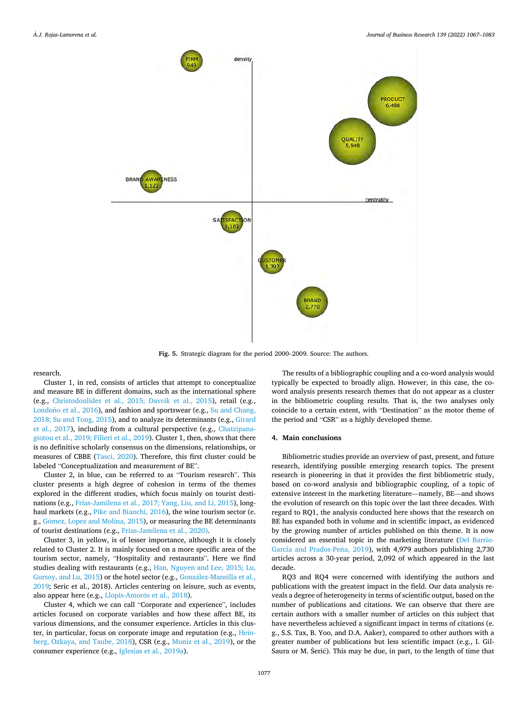<span id="page-10-0"></span>

**Fig. 5.** Strategic diagram for the period 2000–2009. Source: The authors.

research.

Cluster 1, in red, consists of articles that attempt to conceptualize and measure BE in different domains, such as the international sphere (e.g., [Christodoulides et al., 2015; Davcik et al., 2015](#page-14-0)), retail (e.g., Londono et al.,  $2016$ ), and fashion and sportswear (e.g., Su and Chang, [2018; Su and Tong, 2015](#page-15-0)), and to analyze its determinants (e.g., [Girard](#page-14-0)  [et al., 2017\)](#page-14-0), including from a cultural perspective (e.g., [Chatzipana](#page-14-0)[giotou et al., 2019; Filieri et al., 2019](#page-14-0)). Cluster 1, then, shows that there is no definitive scholarly consensus on the dimensions, relationships, or measures of CBBE ([Tasci, 2020](#page-16-0)). Therefore, this first cluster could be labeled "Conceptualization and measurement of BE".

Cluster 2, in blue, can be referred to as "Tourism research". This cluster presents a high degree of cohesion in terms of the themes explored in the different studies, which focus mainly on tourist destinations (e.g., [Frías-Jamilena et al., 2017; Yang, Liu, and Li, 2015\)](#page-14-0), longhaul markets (e.g., [Pike and Bianchi, 2016](#page-15-0)), the wine tourism sector (e. g., Gómez, Lopez and Molina, 2015), or measuring the BE determinants of tourist destinations (e.g., [Frias-Jamilena et al., 2020\)](#page-14-0).

Cluster 3, in yellow, is of lesser importance, although it is closely related to Cluster 2. It is mainly focused on a more specific area of the tourism sector, namely, "Hospitality and restaurants". Here we find studies dealing with restaurants (e.g., [Han, Nguyen and Lee, 2015; Lu,](#page-14-0)  [Gursoy, and Lu, 2015\)](#page-14-0) or the hotel sector (e.g., González-Mansilla et al., [2019;](#page-14-0) Seric et al., 2018). Articles centering on leisure, such as events, also appear here (e.g., Llopis-Amorós et al., 2018).

Cluster 4, which we can call "Corporate and experience", includes articles focused on corporate variables and how these affect BE, its various dimensions, and the consumer experience. Articles in this cluster, in particular, focus on corporate image and reputation (e.g., [Hein](#page-14-0)[berg, Ozkaya, and Taube, 2018](#page-14-0)), CSR (e.g., [Muniz et al., 2019\)](#page-15-0), or the consumer experience (e.g., [Iglesias et al., 2019a](#page-14-0)).

The results of a bibliographic coupling and a co-word analysis would typically be expected to broadly align. However, in this case, the coword analysis presents research themes that do not appear as a cluster in the bibliometric coupling results. That is, the two analyses only coincide to a certain extent, with "Destination" as the motor theme of the period and "CSR" as a highly developed theme.

# **4. Main conclusions**

Bibliometric studies provide an overview of past, present, and future research, identifying possible emerging research topics. The present research is pioneering in that it provides the first bibliometric study, based on co-word analysis and bibliographic coupling, of a topic of extensive interest in the marketing literature—namely, BE—and shows the evolution of research on this topic over the last three decades. With regard to RQ1, the analysis conducted here shows that the research on BE has expanded both in volume and in scientific impact, as evidenced by the growing number of articles published on this theme. It is now considered an essential topic in the marketing literature [\(Del Barrio-](#page-14-0)García and Prados-Peña, 2019), with 4,979 authors publishing 2,730 articles across a 30-year period, 2,092 of which appeared in the last decade.

RQ3 and RQ4 were concerned with identifying the authors and publications with the greatest impact in the field. Our data analysis reveals a degree of heterogeneity in terms of scientific output, based on the number of publications and citations. We can observe that there are certain authors with a smaller number of articles on this subject that have nevertheless achieved a significant impact in terms of citations (e. g., S.S. Tax, B. Yoo, and D.A. Aaker), compared to other authors with a greater number of publications but less scientific impact (e.g., I. Gil-Saura or M. Šerić). This may be due, in part, to the length of time that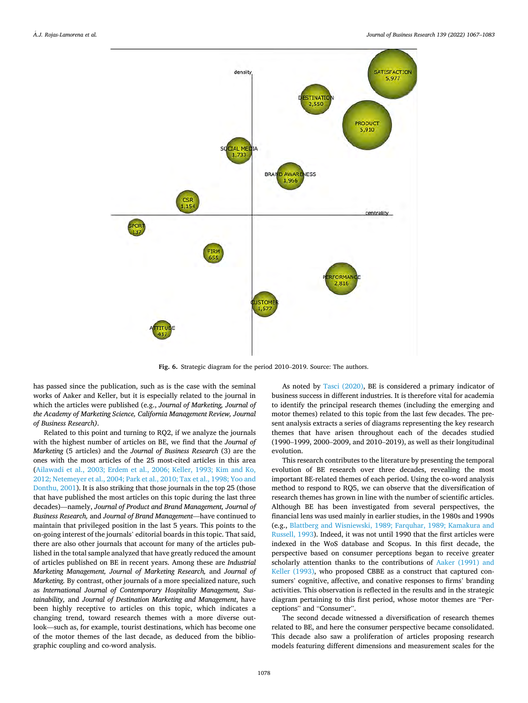<span id="page-11-0"></span>

**Fig. 6.** Strategic diagram for the period 2010–2019. Source: The authors.

has passed since the publication, such as is the case with the seminal works of Aaker and Keller, but it is especially related to the journal in which the articles were published (e.g., *Journal of Marketing, Journal of the Academy of Marketing Science, California Management Review, Journal of Business Research)*.

Related to this point and turning to RQ2, if we analyze the journals with the highest number of articles on BE, we find that the *Journal of Marketing* (5 articles) and the *Journal of Business Research* (3) are the ones with the most articles of the 25 most-cited articles in this area ([Ailawadi et al., 2003; Erdem et al., 2006; Keller, 1993; Kim and Ko,](#page-13-0)  [2012; Netemeyer et al., 2004; Park et al., 2010; Tax et al., 1998; Yoo and](#page-13-0)  [Donthu, 2001](#page-13-0)). It is also striking that those journals in the top 25 (those that have published the most articles on this topic during the last three decades)—namely, *Journal of Product and Brand Management, Journal of Business Research,* and *Journal of Brand Management*—have continued to maintain that privileged position in the last 5 years. This points to the on-going interest of the journals' editorial boards in this topic. That said, there are also other journals that account for many of the articles published in the total sample analyzed that have greatly reduced the amount of articles published on BE in recent years. Among these are *Industrial Marketing Management, Journal of Marketing Research,* and *Journal of Marketing.* By contrast, other journals of a more specialized nature, such as *International Journal of Contemporary Hospitality Management, Sustainability,* and *Journal of Destination Marketing and Management*, have been highly receptive to articles on this topic, which indicates a changing trend, toward research themes with a more diverse outlook—such as, for example, tourist destinations, which has become one of the motor themes of the last decade, as deduced from the bibliographic coupling and co-word analysis.

As noted by [Tasci \(2020\)](#page-16-0), BE is considered a primary indicator of business success in different industries. It is therefore vital for academia to identify the principal research themes (including the emerging and motor themes) related to this topic from the last few decades. The present analysis extracts a series of diagrams representing the key research themes that have arisen throughout each of the decades studied (1990–1999, 2000–2009, and 2010–2019), as well as their longitudinal evolution.

This research contributes to the literature by presenting the temporal evolution of BE research over three decades, revealing the most important BE-related themes of each period. Using the co-word analysis method to respond to RQ5, we can observe that the diversification of research themes has grown in line with the number of scientific articles. Although BE has been investigated from several perspectives, the financial lens was used mainly in earlier studies, in the 1980s and 1990s (e.g., [Blattberg and Wisniewski, 1989; Farquhar, 1989; Kamakura and](#page-13-0)  [Russell, 1993\)](#page-13-0). Indeed, it was not until 1990 that the first articles were indexed in the WoS database and Scopus. In this first decade, the perspective based on consumer perceptions began to receive greater scholarly attention thanks to the contributions of [Aaker \(1991\) and](#page-13-0)  [Keller \(1993\),](#page-13-0) who proposed CBBE as a construct that captured consumers' cognitive, affective, and conative responses to firms' branding activities. This observation is reflected in the results and in the strategic diagram pertaining to this first period, whose motor themes are "Perceptions" and "Consumer".

The second decade witnessed a diversification of research themes related to BE, and here the consumer perspective became consolidated. This decade also saw a proliferation of articles proposing research models featuring different dimensions and measurement scales for the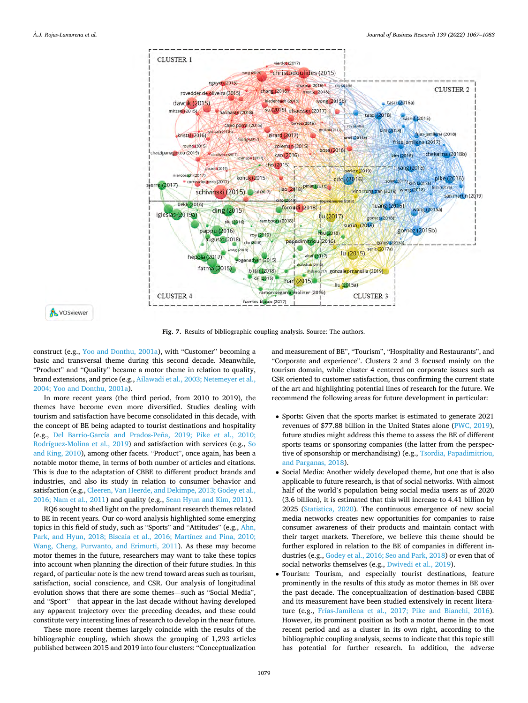<span id="page-12-0"></span>

**Fig. 7.** Results of bibliographic coupling analysis. Source: The authors.

construct (e.g., [Yoo and Donthu, 2001a](#page-16-0)), with "Customer" becoming a basic and transversal theme during this second decade. Meanwhile, "Product" and "Quality" became a motor theme in relation to quality, brand extensions, and price (e.g., [Ailawadi et al., 2003; Netemeyer et al.,](#page-13-0)  [2004; Yoo and Donthu, 2001a\)](#page-13-0).

In more recent years (the third period, from 2010 to 2019), the themes have become even more diversified. Studies dealing with tourism and satisfaction have become consolidated in this decade, with the concept of BE being adapted to tourist destinations and hospitality (e.g., Del Barrio-García and Prados-Peña, 2019; Pike et al., 2010; [Rodríguez-Molina et al., 2019](#page-14-0)) and satisfaction with services (e.g., [So](#page-15-0)  [and King, 2010](#page-15-0)), among other facets. "Product", once again, has been a notable motor theme, in terms of both number of articles and citations. This is due to the adaptation of CBBE to different product brands and industries, and also its study in relation to consumer behavior and satisfaction (e.g., [Cleeren, Van Heerde, and Dekimpe, 2013; Godey et al.,](#page-14-0)  [2016; Nam et al., 2011](#page-14-0)) and quality (e.g., [Sean Hyun and Kim, 2011](#page-15-0)).

RQ6 sought to shed light on the predominant research themes related to BE in recent years. Our co-word analysis highlighted some emerging topics in this field of study, such as "Sports" and "Attitudes" (e.g., [Ahn,](#page-13-0)  [Park, and Hyun, 2018; Biscaia et al., 2016; Martínez and Pina, 2010;](#page-13-0)  [Wang, Cheng, Purwanto, and Erimurti, 2011\)](#page-13-0). As these may become motor themes in the future, researchers may want to take these topics into account when planning the direction of their future studies. In this regard, of particular note is the new trend toward areas such as tourism, satisfaction, social conscience, and CSR. Our analysis of longitudinal evolution shows that there are some themes—such as "Social Media", and "Sport"—that appear in the last decade without having developed any apparent trajectory over the preceding decades, and these could constitute very interesting lines of research to develop in the near future.

These more recent themes largely coincide with the results of the bibliographic coupling, which shows the grouping of 1,293 articles published between 2015 and 2019 into four clusters: "Conceptualization

and measurement of BE", "Tourism", "Hospitality and Restaurants", and "Corporate and experience". Clusters 2 and 3 focused mainly on the tourism domain, while cluster 4 centered on corporate issues such as CSR oriented to customer satisfaction, thus confirming the current state of the art and highlighting potential lines of research for the future. We recommend the following areas for future development in particular:

- Sports: Given that the sports market is estimated to generate 2021 revenues of \$77.88 billion in the United States alone ([PWC, 2019](#page-15-0)), future studies might address this theme to assess the BE of different sports teams or sponsoring companies (the latter from the perspective of sponsorship or merchandising) (e.g., [Tsordia, Papadimitriou,](#page-16-0)  [and Parganas, 2018](#page-16-0)).
- Social Media: Another widely developed theme, but one that is also applicable to future research, is that of social networks. With almost half of the world's population being social media users as of 2020 (3.6 billion), it is estimated that this will increase to 4.41 billion by 2025 [\(Statistica, 2020\)](#page-15-0). The continuous emergence of new social media networks creates new opportunities for companies to raise consumer awareness of their products and maintain contact with their target markets. Therefore, we believe this theme should be further explored in relation to the BE of companies in different industries (e.g., [Godey et al., 2016; Seo and Park, 2018](#page-14-0)) or even that of social networks themselves (e.g., [Dwivedi et al., 2019\)](#page-14-0).
- Tourism: Tourism, and especially tourist destinations, feature prominently in the results of this study as motor themes in BE over the past decade. The conceptualization of destination-based CBBE and its measurement have been studied extensively in recent literature (e.g., [Frías-Jamilena et al., 2017; Pike and Bianchi, 2016](#page-14-0)). However, its prominent position as both a motor theme in the most recent period and as a cluster in its own right, according to the bibliographic coupling analysis, seems to indicate that this topic still has potential for further research. In addition, the adverse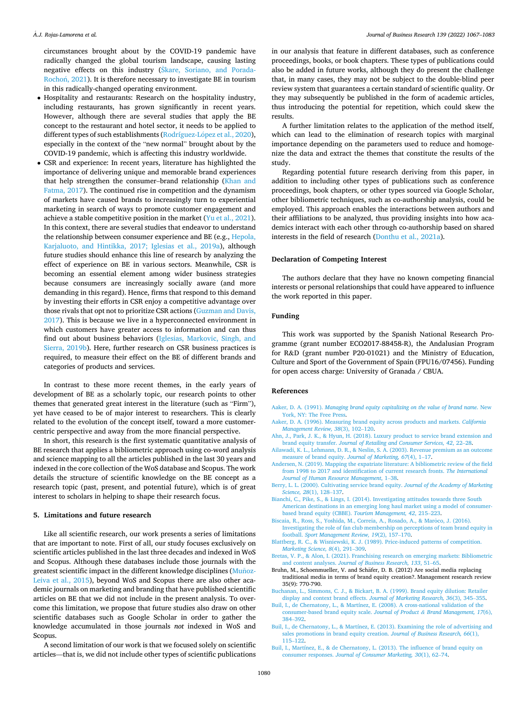<span id="page-13-0"></span>circumstances brought about by the COVID-19 pandemic have radically changed the global tourism landscape, causing lasting negative effects on this industry (Škare, Soriano, and Porada-Rochoń, 2021). It is therefore necessary to investigate BE in tourism in this radically-changed operating environment.

- Hospitality and restaurants: Research on the hospitality industry, including restaurants, has grown significantly in recent years. However, although there are several studies that apply the BE concept to the restaurant and hotel sector, it needs to be applied to different types of such establishments (Rodríguez-López et al., 2020), especially in the context of the "new normal" brought about by the COVID-19 pandemic, which is affecting this industry worldwide.
- CSR and experience: In recent years, literature has highlighted the importance of delivering unique and memorable brand experiences that help strengthen the consumer–brand relationship ([Khan and](#page-14-0)  [Fatma, 2017\)](#page-14-0). The continued rise in competition and the dynamism of markets have caused brands to increasingly turn to experiential marketing in search of ways to promote customer engagement and achieve a stable competitive position in the market ([Yu et al., 2021](#page-16-0)). In this context, there are several studies that endeavor to understand the relationship between consumer experience and BE (e.g., [Hepola,](#page-14-0)  [Karjaluoto, and Hintikka, 2017; Iglesias et al., 2019a](#page-14-0)), although future studies should enhance this line of research by analyzing the effect of experience on BE in various sectors. Meanwhile, CSR is becoming an essential element among wider business strategies because consumers are increasingly socially aware (and more demanding in this regard). Hence, firms that respond to this demand by investing their efforts in CSR enjoy a competitive advantage over those rivals that opt not to prioritize CSR actions ([Guzman and Davis,](#page-14-0)  [2017](#page-14-0)). This is because we live in a hyperconnected environment in which customers have greater access to information and can thus find out about business behaviors [\(Iglesias, Markovic, Singh, and](#page-14-0)  [Sierra, 2019b\)](#page-14-0). Here, further research on CSR business practices is required, to measure their effect on the BE of different brands and categories of products and services.

In contrast to these more recent themes, in the early years of development of BE as a scholarly topic, our research points to other themes that generated great interest in the literature (such as "Firm"), yet have ceased to be of major interest to researchers. This is clearly related to the evolution of the concept itself, toward a more customercentric perspective and away from the more financial perspective.

In short, this research is the first systematic quantitative analysis of BE research that applies a bibliometric approach using co-word analysis and science mapping to all the articles published in the last 30 years and indexed in the core collection of the WoS database and Scopus. The work details the structure of scientific knowledge on the BE concept as a research topic (past, present, and potential future), which is of great interest to scholars in helping to shape their research focus.

# **5. Limitations and future research**

Like all scientific research, our work presents a series of limitations that are important to note. First of all, our study focuses exclusively on scientific articles published in the last three decades and indexed in WoS and Scopus. Although these databases include those journals with the greatest scientific impact in the different knowledge disciplines (Munoz-[Leiva et al., 2015\)](#page-15-0), beyond WoS and Scopus there are also other academic journals on marketing and branding that have published scientific articles on BE that we did not include in the present analysis. To overcome this limitation, we propose that future studies also draw on other scientific databases such as Google Scholar in order to gather the knowledge accumulated in those journals *not* indexed in WoS and Scopus.

in our analysis that feature in different databases, such as conference proceedings, books, or book chapters. These types of publications could also be added in future works, although they do present the challenge that, in many cases, they may not be subject to the double-blind peer review system that guarantees a certain standard of scientific quality. Or they may subsequently be published in the form of academic articles, thus introducing the potential for repetition, which could skew the results.

A further limitation relates to the application of the method itself, which can lead to the elimination of research topics with marginal importance depending on the parameters used to reduce and homogenize the data and extract the themes that constitute the results of the study.

Regarding potential future research deriving from this paper, in addition to including other types of publications such as conference proceedings, book chapters, or other types sourced via Google Scholar, other bibliometric techniques, such as co-authorship analysis, could be employed. This approach enables the interactions between authors and their affiliations to be analyzed, thus providing insights into how academics interact with each other through co-authorship based on shared interests in the field of research ([Donthu et al., 2021a\)](#page-14-0).

#### **Declaration of Competing Interest**

The authors declare that they have no known competing financial interests or personal relationships that could have appeared to influence the work reported in this paper.

#### **Funding**

This work was supported by the Spanish National Research Programme (grant number ECO2017-88458-R), the Andalusian Program for R&D (grant number P20-01021) and the Ministry of Education, Culture and Sport of the Government of Spain (FPU16/07456). Funding for open access charge: University of Granada / CBUA.

#### **References**

- Aaker, D. A. (1991). *[Managing brand equity capitalizing on the value of brand name](http://refhub.elsevier.com/S0148-2963(21)00750-5/h0005)*. New [York, NY: The Free Press.](http://refhub.elsevier.com/S0148-2963(21)00750-5/h0005)
- [Aaker, D. A. \(1996\). Measuring brand equity across products and markets.](http://refhub.elsevier.com/S0148-2963(21)00750-5/h0010) *California [Management Review, 38](http://refhub.elsevier.com/S0148-2963(21)00750-5/h0010)*(3), 102–120.
- [Ahn, J., Park, J. K., & Hyun, H. \(2018\). Luxury product to service brand extension and](http://refhub.elsevier.com/S0148-2963(21)00750-5/h0015) brand equity transfer. *[Journal of Retailing and Consumer Services, 42](http://refhub.elsevier.com/S0148-2963(21)00750-5/h0015)*, 22–28.
- [Ailawadi, K. L., Lehmann, D. R., & Neslin, S. A. \(2003\). Revenue premium as an outcome](http://refhub.elsevier.com/S0148-2963(21)00750-5/h0020)  [measure of brand equity.](http://refhub.elsevier.com/S0148-2963(21)00750-5/h0020) *Journal of Marketing, 67*(4), 1–17.
- [Andersen, N. \(2019\). Mapping the expatriate literature: A bibliometric review of the field](http://refhub.elsevier.com/S0148-2963(21)00750-5/h0025)  [from 1998 to 2017 and identification of current research fronts.](http://refhub.elsevier.com/S0148-2963(21)00750-5/h0025) *The International [Journal of Human Resource Management](http://refhub.elsevier.com/S0148-2963(21)00750-5/h0025)*, 1–38.
- [Berry, L. L. \(2000\). Cultivating service brand equity.](http://refhub.elsevier.com/S0148-2963(21)00750-5/h0030) *Journal of the Academy of Marketing [Science, 28](http://refhub.elsevier.com/S0148-2963(21)00750-5/h0030)*(1), 128–137.
- [Bianchi, C., Pike, S., & Lings, I. \(2014\). Investigating attitudes towards three South](http://refhub.elsevier.com/S0148-2963(21)00750-5/h0035)  [American destinations in an emerging long haul market using a model of consumer](http://refhub.elsevier.com/S0148-2963(21)00750-5/h0035)[based brand equity \(CBBE\).](http://refhub.elsevier.com/S0148-2963(21)00750-5/h0035) *Tourism Management, 42*, 215–223.
- [Biscaia, R., Ross, S., Yoshida, M., Correia, A., Rosado, A., & Maroco, J. \(2016\).](http://refhub.elsevier.com/S0148-2963(21)00750-5/h0040) ˆ [Investigating the role of fan club membership on perceptions of team brand equity in](http://refhub.elsevier.com/S0148-2963(21)00750-5/h0040)  football. *[Sport Management Review, 19](http://refhub.elsevier.com/S0148-2963(21)00750-5/h0040)*(2), 157–170.
- [Blattberg, R. C., & Wisniewski, K. J. \(1989\). Price-induced patterns of competition.](http://refhub.elsevier.com/S0148-2963(21)00750-5/h0045)  *[Marketing Science, 8](http://refhub.elsevier.com/S0148-2963(21)00750-5/h0045)*(4), 291–309.
- [Bretas, V. P., & Alon, I. \(2021\). Franchising research on emerging markets: Bibliometric](http://refhub.elsevier.com/S0148-2963(21)00750-5/h0050)  and content analyses. *[Journal of Business Research, 133](http://refhub.elsevier.com/S0148-2963(21)00750-5/h0050)*, 51–65.
- Bruhn, M., Schoenmueller, V. and Schäfer, D. B. (2012) Are social media replacing traditional media in terms of brand equity creation?. Management research review 35(9): 770-790.
- [Buchanan, L., Simmons, C. J., & Bickart, B. A. \(1999\). Brand equity dilution: Retailer](http://refhub.elsevier.com/S0148-2963(21)00750-5/h0060) [display and context brand effects.](http://refhub.elsevier.com/S0148-2963(21)00750-5/h0060) *Journal of Marketing Research*, 36(3), 345–355.
- [Buil, I., de Chernatony, L., & Martínez, E. \(2008\). A cross-national validation of the](http://refhub.elsevier.com/S0148-2963(21)00750-5/h0065) [consumer-based brand equity scale.](http://refhub.elsevier.com/S0148-2963(21)00750-5/h0065) *Journal of Product & Brand Management, 17*(6), 384–[392](http://refhub.elsevier.com/S0148-2963(21)00750-5/h0065).
- [Buil, I., de Chernatony, L., & Martínez, E. \(2013\). Examining the role of advertising and](http://refhub.elsevier.com/S0148-2963(21)00750-5/h0070)  [sales promotions in brand equity creation.](http://refhub.elsevier.com/S0148-2963(21)00750-5/h0070) *Journal of Business Research, 66*(1), 115–[122](http://refhub.elsevier.com/S0148-2963(21)00750-5/h0070).
- [Buil, I., Martínez, E., & de Chernatony, L. \(2013\). The influence of brand equity on](http://refhub.elsevier.com/S0148-2963(21)00750-5/h0075)  consumer responses. *[Journal of Consumer Marketing, 30](http://refhub.elsevier.com/S0148-2963(21)00750-5/h0075)*(1), 62–74.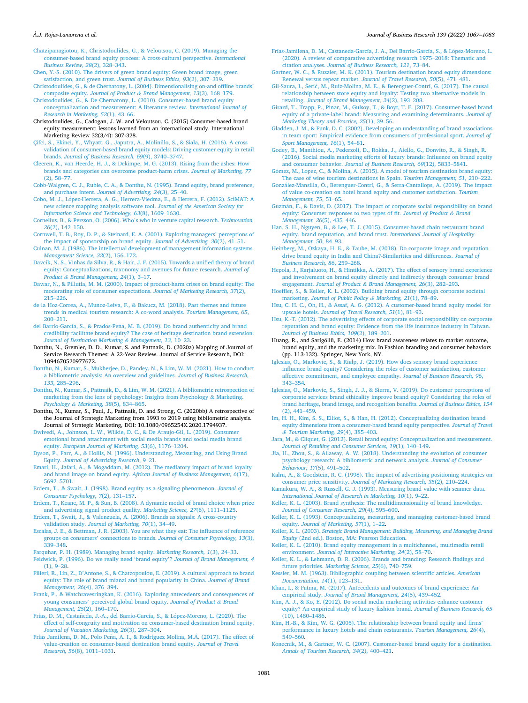#### <span id="page-14-0"></span>*A.J. Rojas-Lamorena et al.* ´

[Chatzipanagiotou, K., Christodoulides, G., & Veloutsou, C. \(2019\). Managing the](http://refhub.elsevier.com/S0148-2963(21)00750-5/h0080)  [consumer-based brand equity process: A cross-cultural perspective.](http://refhub.elsevier.com/S0148-2963(21)00750-5/h0080) *International [Business Review, 28](http://refhub.elsevier.com/S0148-2963(21)00750-5/h0080)*(2), 328–343.

- [Chen, Y.-S. \(2010\). The drivers of green brand equity: Green brand image, green](http://refhub.elsevier.com/S0148-2963(21)00750-5/h0085) [satisfaction, and green trust.](http://refhub.elsevier.com/S0148-2963(21)00750-5/h0085) *Journal of Business Ethics, 93*(2), 307–319.
- [Christodoulides, G., & de Chernatony, L. \(2004\). Dimensionalising on-and offline brands](http://refhub.elsevier.com/S0148-2963(21)00750-5/h0090)' composite equity. *Journal of Product & [Brand Management, 13](http://refhub.elsevier.com/S0148-2963(21)00750-5/h0090)*(3), 168–179.
- [Christodoulides, G., & De Chernatony, L. \(2010\). Consumer-based brand equity](http://refhub.elsevier.com/S0148-2963(21)00750-5/h0095)  [conceptualization and measurement: A literature review.](http://refhub.elsevier.com/S0148-2963(21)00750-5/h0095) *International Journal of [Research in Marketing, 52](http://refhub.elsevier.com/S0148-2963(21)00750-5/h0095)*(1), 43–66.
- Christodoulides, G., Cadogan, J. W. and Veloutsou, C. (2015) Consumer-based brand equity measurement: lessons learned from an international study. International Marketing Review 32(3/4): 307-328.
- [Çifci, S., Ekinci, Y., Whyatt, G., Japutra, A., Molinillo, S., & Siala, H. \(2016\). A cross](http://refhub.elsevier.com/S0148-2963(21)00750-5/h0105) [validation of consumer-based brand equity models: Driving customer equity in retail](http://refhub.elsevier.com/S0148-2963(21)00750-5/h0105)  brands. *[Journal of Business Research, 69](http://refhub.elsevier.com/S0148-2963(21)00750-5/h0105)*(9), 3740–3747.
- [Cleeren, K., van Heerde, H. J., & Dekimpe, M. G. \(2013\). Rising from the ashes: How](http://refhub.elsevier.com/S0148-2963(21)00750-5/h0110) [brands and categories can overcome product-harm crises.](http://refhub.elsevier.com/S0148-2963(21)00750-5/h0110) *Journal of Marketing, 77*  [\(2\), 58](http://refhub.elsevier.com/S0148-2963(21)00750-5/h0110)–77.
- [Cobb-Walgren, C. J., Ruble, C. A., & Donthu, N. \(1995\). Brand equity, brand preference,](http://refhub.elsevier.com/S0148-2963(21)00750-5/h0115)  and purchase intent. *[Journal of Advertising, 24](http://refhub.elsevier.com/S0148-2963(21)00750-5/h0115)*(3), 25–40.
- [Cobo, M. J., Lopez-Herrera, A. G., Herrera-Viedma, E., & Herrera, F. \(2012\). SciMAT: A](http://refhub.elsevier.com/S0148-2963(21)00750-5/h0120) ´ [new science mapping analysis software tool.](http://refhub.elsevier.com/S0148-2963(21)00750-5/h0120) *Journal of the American Society for [Information Science and Technology, 63](http://refhub.elsevier.com/S0148-2963(21)00750-5/h0120)*(8), 1609–1630.
- [Cornelius, B., & Persson, O. \(2006\). Who](http://refhub.elsevier.com/S0148-2963(21)00750-5/h0125)'s who in venture capital research. *Technovation, 26*[\(2\), 142](http://refhub.elsevier.com/S0148-2963(21)00750-5/h0125)–150.
- [Cornwell, T. B., Roy, D. P., & Steinard, E. A. \(2001\). Exploring managers](http://refhub.elsevier.com/S0148-2963(21)00750-5/h0130)' perceptions of [the impact of sponsorship on brand equity.](http://refhub.elsevier.com/S0148-2963(21)00750-5/h0130) *Journal of Advertising, 30*(2), 41–51.
- [Culnan, M. J. \(1986\). The intellectual development of management information systems.](http://refhub.elsevier.com/S0148-2963(21)00750-5/h0135)  *[Management Science, 32](http://refhub.elsevier.com/S0148-2963(21)00750-5/h0135)*(2), 156–172.
- [Davcik, N. S., Vinhas da Silva, R., & Hair, J. F. \(2015\). Towards a unified theory of brand](http://refhub.elsevier.com/S0148-2963(21)00750-5/h0140)  [equity: Conceptualizations, taxonomy and avenues for future research.](http://refhub.elsevier.com/S0148-2963(21)00750-5/h0140) *Journal of Product & [Brand Management, 24](http://refhub.elsevier.com/S0148-2963(21)00750-5/h0140)*(1), 3–17.
- [Dawar, N., & Pillutla, M. M. \(2000\). Impact of product-harm crises on brand equity: The](http://refhub.elsevier.com/S0148-2963(21)00750-5/h0145)  [moderating role of consumer expectations.](http://refhub.elsevier.com/S0148-2963(21)00750-5/h0145) *Journal of Marketing Research, 37*(2), 215–[226](http://refhub.elsevier.com/S0148-2963(21)00750-5/h0145).
- de la Hoz-Correa, A., Muñoz-Leiva, F., & Bakucz, M. (2018). Past themes and future [trends in medical tourism research: A co-word analysis.](http://refhub.elsevier.com/S0148-2963(21)00750-5/h0150) *Tourism Management, 65*, 200–[211](http://refhub.elsevier.com/S0148-2963(21)00750-5/h0150).
- del Barrio-García, S., & Prados-Peña, M. B. (2019). Do brand authenticity and brand [credibility facilitate brand equity? The case of heritage destination brand extension.](http://refhub.elsevier.com/S0148-2963(21)00750-5/h0155)  *[Journal of Destination Marketing](http://refhub.elsevier.com/S0148-2963(21)00750-5/h0155) & Management, 13*, 10–23.
- Donthu, N., Gremler, D. D., Kumar, S. and Pattnaik, D. (2020a) Mapping of Journal of Service Research Themes: A 22-Year Review. Journal of Service Research, DOI: 1094670520977672.
- [Donthu, N., Kumar, S., Mukherjee, D., Pandey, N., & Lim, W. M. \(2021\). How to conduct](http://refhub.elsevier.com/S0148-2963(21)00750-5/h0170)  [a bibliometric analysis: An overview and guidelines.](http://refhub.elsevier.com/S0148-2963(21)00750-5/h0170) *Journal of Business Research, 133*[, 285](http://refhub.elsevier.com/S0148-2963(21)00750-5/h0170)–296.
- [Donthu, N., Kumar, S., Pattnaik, D., & Lim, W. M. \(2021\). A bibliometric retrospection of](http://refhub.elsevier.com/S0148-2963(21)00750-5/h0175)  [marketing from the lens of psychology: Insights from Psychology](http://refhub.elsevier.com/S0148-2963(21)00750-5/h0175) & Marketing. *Psychology & [Marketing, 38](http://refhub.elsevier.com/S0148-2963(21)00750-5/h0175)*(5), 834–865.
- Donthu, N., Kumar, S., Paul, J., Pattnaik, D. and Strong, C. (2020bb) A retrospective of the Journal of Strategic Marketing from 1993 to 2019 using bibliometric analysis. Journal of Strategic Marketing, DOI: 10.1080/0965254X.2020.1794937.
- [Dwivedi, A., Johnson, L. W., Wilkie, D. C., & De Araujo-Gil, L. \(2019\). Consumer](http://refhub.elsevier.com/S0148-2963(21)00750-5/h0185) emotional brand attachment with social media brands and social media brand equity. *[European Journal of Marketing, 53](http://refhub.elsevier.com/S0148-2963(21)00750-5/h0185)*(6), 1176–1204.
- [Dyson, P., Farr, A., & Hollis, N. \(1996\). Understanding, Measuring, and Using Brand](http://refhub.elsevier.com/S0148-2963(21)00750-5/h0190)  Equity. *[Journal of Advertising Research](http://refhub.elsevier.com/S0148-2963(21)00750-5/h0190)*, 9–21.
- [Emari, H., Jafari, A., & Mogaddam, M. \(2012\). The mediatory impact of brand loyalty](http://refhub.elsevier.com/S0148-2963(21)00750-5/h0195) and brand image on brand equity. *[African Journal of Business Management, 6](http://refhub.elsevier.com/S0148-2963(21)00750-5/h0195)*(17), 5692–[5701](http://refhub.elsevier.com/S0148-2963(21)00750-5/h0195).
- [Erdem, T., & Swait, J. \(1998\). Brand equity as a signaling phenomenon.](http://refhub.elsevier.com/S0148-2963(21)00750-5/h0200) *Journal of [Consumer Psychology, 7](http://refhub.elsevier.com/S0148-2963(21)00750-5/h0200)*(2), 131–157.
- [Erdem, T., Keane, M. P., & Sun, B. \(2008\). A dynamic model of brand choice when price](http://refhub.elsevier.com/S0148-2963(21)00750-5/h0205)  [and advertising signal product quality.](http://refhub.elsevier.com/S0148-2963(21)00750-5/h0205) *Marketing Science, 27*(6), 1111–1125.
- [Erdem, T., Swait, J., & Valenzuela, A. \(2006\). Brands as signals: A cross-country](http://refhub.elsevier.com/S0148-2963(21)00750-5/h0210) validation study. *[Journal of Marketing, 70](http://refhub.elsevier.com/S0148-2963(21)00750-5/h0210)*(1), 34–49.
- [Escalas, J. E., & Bettman, J. R. \(2003\). You are what they eat: The influence of reference](http://refhub.elsevier.com/S0148-2963(21)00750-5/h0215)  groups on consumers' connections to brands. *[Journal of Consumer Psychology, 13](http://refhub.elsevier.com/S0148-2963(21)00750-5/h0215)*(3), 339–[348](http://refhub.elsevier.com/S0148-2963(21)00750-5/h0215).
- [Farquhar, P. H. \(1989\). Managing brand equity.](http://refhub.elsevier.com/S0148-2963(21)00750-5/h0220) *Marketing Research, 1*(3), 24–33.
- [Feldwick, P. \(1996\). Do we really need 'brand equity](http://refhub.elsevier.com/S0148-2963(21)00750-5/h0225)'? *Journal of Brand Management, 4*  [\(1\), 9](http://refhub.elsevier.com/S0148-2963(21)00750-5/h0225)–28.
- Filieri, R., Lin, Z., D'[Antone, S., & Chatzopoulou, E. \(2019\). A cultural approach to brand](http://refhub.elsevier.com/S0148-2963(21)00750-5/h0230)  [equity: The role of brand mianzi and brand popularity in China.](http://refhub.elsevier.com/S0148-2963(21)00750-5/h0230) *Journal of Brand [Management, 26](http://refhub.elsevier.com/S0148-2963(21)00750-5/h0230)*(4), 376–394.
- [Frank, P., & Watchravesringkan, K. \(2016\). Exploring antecedents and consequences of](http://refhub.elsevier.com/S0148-2963(21)00750-5/h0235) young consumers' [perceived global brand equity.](http://refhub.elsevier.com/S0148-2963(21)00750-5/h0235) *Journal of Product & Brand [Management, 25](http://refhub.elsevier.com/S0148-2963(21)00750-5/h0235)*(2), 160–170.
- Frias, D. M., Castañeda, J.-A., del Barrio-García, S., & López-Moreno, L. (2020). The [effect of self-congruity and motivation on consumer-based destination brand equity.](http://refhub.elsevier.com/S0148-2963(21)00750-5/h0240)  *[Journal of Vacation Marketing, 26](http://refhub.elsevier.com/S0148-2963(21)00750-5/h0240)*(3), 287–304.
- Frías Jamilena, D. M., Polo Peña, A. I., & Rodríguez Molina, M.Á. (2017). The effect of [value-creation on consumer-based destination brand equity.](http://refhub.elsevier.com/S0148-2963(21)00750-5/h0245) *Journal of Travel [Research, 56](http://refhub.elsevier.com/S0148-2963(21)00750-5/h0245)*(8), 1011–1031.
- Frías-Jamilena, D. M., Castañeda-García, J. A., Del Barrio-García, S., & López-Moreno, L. [\(2020\). A review of comparative advertising research 1975](http://refhub.elsevier.com/S0148-2963(21)00750-5/h0160)–2018: Thematic and citation analyses. *[Journal of Business Research, 121](http://refhub.elsevier.com/S0148-2963(21)00750-5/h0160)*, 73–84.
- [Gartner, W. C., & Ruzzier, M. K. \(2011\). Tourism destination brand equity dimensions:](http://refhub.elsevier.com/S0148-2963(21)00750-5/h0250)  [Renewal versus repeat market.](http://refhub.elsevier.com/S0148-2963(21)00750-5/h0250) *Journal of Travel Research, 50*(5), 471–481.
- Gil-Saura, I., Šerić, M., Ruiz-Molina, M. E., & Berenguer-Contrí, G. (2017). The causal [relationship between store equity and loyalty: Testing two alternative models in](http://refhub.elsevier.com/S0148-2963(21)00750-5/h0255) retailing. *[Journal of Brand Management, 24](http://refhub.elsevier.com/S0148-2963(21)00750-5/h0255)*(2), 193–208.
- [Girard, T., Trapp, P., Pinar, M., Gulsoy, T., & Boyt, T. E. \(2017\). Consumer-based brand](http://refhub.elsevier.com/S0148-2963(21)00750-5/h0260)  [equity of a private-label brand: Measuring and examining determinants.](http://refhub.elsevier.com/S0148-2963(21)00750-5/h0260) *Journal of [Marketing Theory and Practice, 25](http://refhub.elsevier.com/S0148-2963(21)00750-5/h0260)*(1), 39–56.
- [Gladden, J. M., & Funk, D. C. \(2002\). Developing an understanding of brand associations](http://refhub.elsevier.com/S0148-2963(21)00750-5/h0265)  [in team sport: Empirical evidence from consumers of professional sport.](http://refhub.elsevier.com/S0148-2963(21)00750-5/h0265) *Journal of [Sport Management, 16](http://refhub.elsevier.com/S0148-2963(21)00750-5/h0265)*(1), 54–81.
- [Godey, B., Manthiou, A., Pederzoli, D., Rokka, J., Aiello, G., Donvito, R., & Singh, R.](http://refhub.elsevier.com/S0148-2963(21)00750-5/h0270) [\(2016\). Social media marketing efforts of luxury brands: Influence on brand equity](http://refhub.elsevier.com/S0148-2963(21)00750-5/h0270)  and consumer behavior. *[Journal of Business Research, 69](http://refhub.elsevier.com/S0148-2963(21)00750-5/h0270)*(12), 5833–5841.
- Gómez, M., Lopez, C., & Molina, A. (2015). A model of tourism destination brand equity: [The case of wine tourism destinations in Spain.](http://refhub.elsevier.com/S0148-2963(21)00750-5/h0275) *Tourism Management, 51*, 210–222.
- González-Mansilla, Ó., Berenguer-Contrí, G., & Serra-Cantallops, A. (2019). The impact [of value co-creation on hotel brand equity and customer satisfaction.](http://refhub.elsevier.com/S0148-2963(21)00750-5/h0280) *Tourism [Management, 75](http://refhub.elsevier.com/S0148-2963(21)00750-5/h0280)*, 51–65.
- Guzmán, F., & Davis, D. (2017). The impact of corporate social responsibility on brand [equity: Consumer responses to two types of fit.](http://refhub.elsevier.com/S0148-2963(21)00750-5/h0285) *Journal of Product & Brand [Management, 26](http://refhub.elsevier.com/S0148-2963(21)00750-5/h0285)*(5), 435–446.
- [Han, S. H., Nguyen, B., & Lee, T. J. \(2015\). Consumer-based chain restaurant brand](http://refhub.elsevier.com/S0148-2963(21)00750-5/h0290) [equity, brand reputation, and brand trust.](http://refhub.elsevier.com/S0148-2963(21)00750-5/h0290) *International Journal of Hospitality [Management, 50](http://refhub.elsevier.com/S0148-2963(21)00750-5/h0290)*, 84–93.
- [Heinberg, M., Ozkaya, H. E., & Taube, M. \(2018\). Do corporate image and reputation](http://refhub.elsevier.com/S0148-2963(21)00750-5/h0295) [drive brand equity in India and China?-Similarities and differences.](http://refhub.elsevier.com/S0148-2963(21)00750-5/h0295) *Journal of [Business Research, 86](http://refhub.elsevier.com/S0148-2963(21)00750-5/h0295)*, 259–268.
- [Hepola, J., Karjaluoto, H., & Hintikka, A. \(2017\). The effect of sensory brand experience](http://refhub.elsevier.com/S0148-2963(21)00750-5/h0300)  [and involvement on brand equity directly and indirectly through consumer brand](http://refhub.elsevier.com/S0148-2963(21)00750-5/h0300)  engagement. *Journal of Product & [Brand Management, 26](http://refhub.elsevier.com/S0148-2963(21)00750-5/h0300)*(3), 282–293.
- [Hoeffler, S., & Keller, K. L. \(2002\). Building brand equity through corporate societal](http://refhub.elsevier.com/S0148-2963(21)00750-5/h0305) marketing. *[Journal of Public Policy](http://refhub.elsevier.com/S0148-2963(21)00750-5/h0305) & Marketing, 21*(1), 78–89.
- [Hsu, C. H. C., Oh, H., & Assaf, A. G. \(2012\). A customer-based brand equity model for](http://refhub.elsevier.com/S0148-2963(21)00750-5/h0310)  upscale hotels. *[Journal of Travel Research, 51](http://refhub.elsevier.com/S0148-2963(21)00750-5/h0310)*(1), 81–93.
- [Hsu, K.-T. \(2012\). The advertising effects of corporate social responsibility on corporate](http://refhub.elsevier.com/S0148-2963(21)00750-5/h0315)  [reputation and brand equity: Evidence from the life insurance industry in Taiwan.](http://refhub.elsevier.com/S0148-2963(21)00750-5/h0315) *[Journal of Business Ethics, 109](http://refhub.elsevier.com/S0148-2963(21)00750-5/h0315)*(2), 189–201.
- Huang, R., and Sarigöllü, E. (2014) How brand awareness relates to market outcome, brand equity, and the marketing mix. In Fashion branding and consumer behaviors (pp. 113-132). Springer, New York, NY.
- [Iglesias, O., Markovic, S., & Rialp, J. \(2019\). How does sensory brand experience](http://refhub.elsevier.com/S0148-2963(21)00750-5/h0330)  [influence brand equity? Considering the roles of customer satisfaction, customer](http://refhub.elsevier.com/S0148-2963(21)00750-5/h0330)  [affective commitment, and employee empathy.](http://refhub.elsevier.com/S0148-2963(21)00750-5/h0330) *Journal of Business Research, 96*, 343–[354](http://refhub.elsevier.com/S0148-2963(21)00750-5/h0330).
- [Iglesias, O., Markovic, S., Singh, J. J., & Sierra, V. \(2019\). Do customer perceptions of](http://refhub.elsevier.com/S0148-2963(21)00750-5/h0335) [corporate services brand ethicality improve brand equity? Considering the roles of](http://refhub.elsevier.com/S0148-2963(21)00750-5/h0335) [brand heritage, brand image, and recognition benefits.](http://refhub.elsevier.com/S0148-2963(21)00750-5/h0335) *Journal of Business Ethics, 154*  [\(2\), 441](http://refhub.elsevier.com/S0148-2963(21)00750-5/h0335)–459.
- [Im, H. H., Kim, S. S., Elliot, S., & Han, H. \(2012\). Conceptualizing destination brand](http://refhub.elsevier.com/S0148-2963(21)00750-5/h0340) [equity dimensions from a consumer-based brand equity perspective.](http://refhub.elsevier.com/S0148-2963(21)00750-5/h0340) *Journal of Travel & [Tourism Marketing, 29](http://refhub.elsevier.com/S0148-2963(21)00750-5/h0340)*(4), 385–403.
- [Jara, M., & Cliquet, G. \(2012\). Retail brand equity: Conceptualization and measurement.](http://refhub.elsevier.com/S0148-2963(21)00750-5/h0345)  *[Journal of Retailing and Consumer Services, 19](http://refhub.elsevier.com/S0148-2963(21)00750-5/h0345)*(1), 140–149.
- [Jia, H., Zhou, S., & Allaway, A. W. \(2018\). Understanding the evolution of consumer](http://refhub.elsevier.com/S0148-2963(21)00750-5/h0350) [psychology research: A bibliometric and network analysis.](http://refhub.elsevier.com/S0148-2963(21)00750-5/h0350) *Journal of Consumer [Behaviour, 17](http://refhub.elsevier.com/S0148-2963(21)00750-5/h0350)*(5), 491–502.
- [Kalra, A., & Goodstein, R. C. \(1998\). The impact of advertising positioning strategies on](http://refhub.elsevier.com/S0148-2963(21)00750-5/h0355)  consumer price sensitivity. *[Journal of Marketing Research, 35](http://refhub.elsevier.com/S0148-2963(21)00750-5/h0355)*(2), 210–224.
- [Kamakura, W. A., & Russell, G. J. \(1993\). Measuring brand value with scanner data.](http://refhub.elsevier.com/S0148-2963(21)00750-5/h0360)  *[International Journal of Research in Marketing, 10](http://refhub.elsevier.com/S0148-2963(21)00750-5/h0360)*(1), 9–22.
- [Keller, K. L. \(2003\). Brand synthesis: The multidimensionality of brand knowledge.](http://refhub.elsevier.com/S0148-2963(21)00750-5/h0365) *[Journal of Consumer Research, 29](http://refhub.elsevier.com/S0148-2963(21)00750-5/h0365)*(4), 595–600.
- [Keller, K. L. \(1993\). Conceptualizing, measuring, and managing customer-based brand](http://refhub.elsevier.com/S0148-2963(21)00750-5/h0370)  equity. *[Journal of Marketing, 57](http://refhub.elsevier.com/S0148-2963(21)00750-5/h0370)*(1), 1–22.
- Keller, K. L. (2003). *[Strategic Brand Management: Building, Measuring, and Managing Brand](http://refhub.elsevier.com/S0148-2963(21)00750-5/h0375)  Equity* [\(2nd ed.\). Boston, MA: Pearson Education](http://refhub.elsevier.com/S0148-2963(21)00750-5/h0375).
- [Keller, K. L. \(2010\). Brand equity management in a multichannel, multimedia retail](http://refhub.elsevier.com/S0148-2963(21)00750-5/h0380) environment. *[Journal of Interactive Marketing, 24](http://refhub.elsevier.com/S0148-2963(21)00750-5/h0380)*(2), 58–70.
- [Keller, K. L., & Lehmann, D. R. \(2006\). Brands and branding: Research findings and](http://refhub.elsevier.com/S0148-2963(21)00750-5/h0385) future priorities. *[Marketing Science, 25](http://refhub.elsevier.com/S0148-2963(21)00750-5/h0385)*(6), 740–759.

[Kessler, M. M. \(1963\). Bibliographic coupling between scientific articles.](http://refhub.elsevier.com/S0148-2963(21)00750-5/h0390) *American [Documentation, 14](http://refhub.elsevier.com/S0148-2963(21)00750-5/h0390)*(1), 123–131.

- [Khan, I., & Fatma, M. \(2017\). Antecedents and outcomes of brand experience: An](http://refhub.elsevier.com/S0148-2963(21)00750-5/h0395)  empirical study. *[Journal of Brand Management, 24](http://refhub.elsevier.com/S0148-2963(21)00750-5/h0395)*(5), 439–452.
- [Kim, A. J., & Ko, E. \(2012\). Do social media marketing activities enhance customer](http://refhub.elsevier.com/S0148-2963(21)00750-5/h0400)  [equity? An empirical study of luxury fashion brand.](http://refhub.elsevier.com/S0148-2963(21)00750-5/h0400) *Journal of Business Research, 65*  [\(10\), 1480](http://refhub.elsevier.com/S0148-2963(21)00750-5/h0400)–1486.
- [Kim, H.-B., & Kim, W. G. \(2005\). The relationship between brand equity and firms](http://refhub.elsevier.com/S0148-2963(21)00750-5/h0405)' [performance in luxury hotels and chain restaurants.](http://refhub.elsevier.com/S0148-2963(21)00750-5/h0405) *Tourism Management, 26*(4), 549–[560](http://refhub.elsevier.com/S0148-2963(21)00750-5/h0405).
- [Konecnik, M., & Gartner, W. C. \(2007\). Customer-based brand equity for a destination.](http://refhub.elsevier.com/S0148-2963(21)00750-5/h0410) *[Annals of Tourism Research, 34](http://refhub.elsevier.com/S0148-2963(21)00750-5/h0410)*(2), 400–421.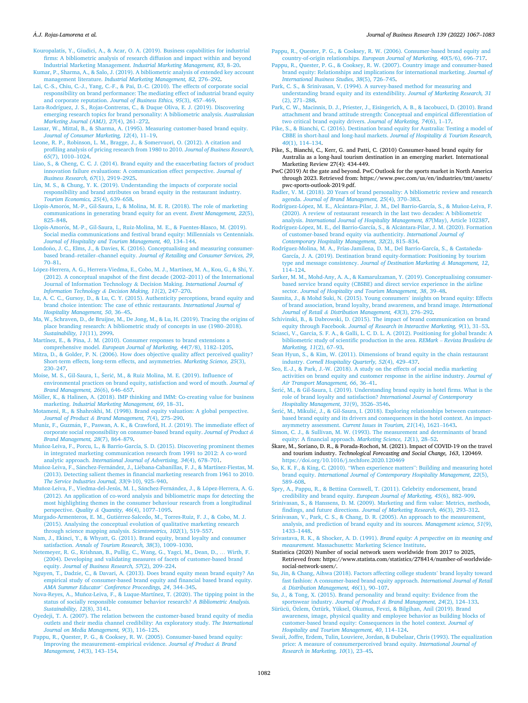#### <span id="page-15-0"></span>*A.J. Rojas-Lamorena et al.* ´

[Kouropalatis, Y., Giudici, A., & Acar, O. A. \(2019\). Business capabilities for industrial](http://refhub.elsevier.com/S0148-2963(21)00750-5/h0415)  [firms: A bibliometric analysis of research diffusion and impact within and beyond](http://refhub.elsevier.com/S0148-2963(21)00750-5/h0415)  Industrial Marketing Management. *[Industrial Marketing Management, 83](http://refhub.elsevier.com/S0148-2963(21)00750-5/h0415)*, 8–20.

- [Kumar, P., Sharma, A., & Salo, J. \(2019\). A bibliometric analysis of extended key account](http://refhub.elsevier.com/S0148-2963(21)00750-5/h0420)  management literature. *[Industrial Marketing Management, 82](http://refhub.elsevier.com/S0148-2963(21)00750-5/h0420)*, 276–292.
- [Lai, C.-S., Chiu, C.-J., Yang, C.-F., & Pai, D.-C. \(2010\). The effects of corporate social](http://refhub.elsevier.com/S0148-2963(21)00750-5/h0425) [responsibility on brand performance: The mediating effect of industrial brand equity](http://refhub.elsevier.com/S0148-2963(21)00750-5/h0425)  and corporate reputation. *[Journal of Business Ethics, 95](http://refhub.elsevier.com/S0148-2963(21)00750-5/h0425)*(3), 457–469.
- [Lara-Rodríguez, J. S., Rojas-Contreras, C., & Duque Oliva, E. J. \(2019\). Discovering](http://refhub.elsevier.com/S0148-2963(21)00750-5/h0430)  [emerging research topics for brand personality: A bibliometric analysis.](http://refhub.elsevier.com/S0148-2963(21)00750-5/h0430) *Australasian [Marketing Journal \(AMJ\), 27](http://refhub.elsevier.com/S0148-2963(21)00750-5/h0430)*(4), 261–272.
- [Lassar, W., Mittal, B., & Sharma, A. \(1995\). Measuring customer-based brand equity.](http://refhub.elsevier.com/S0148-2963(21)00750-5/h0435)  *[Journal of Consumer Marketing, 12](http://refhub.elsevier.com/S0148-2963(21)00750-5/h0435)*(4), 11–19.
- [Leone, R. P., Robinson, L. M., Bragge, J., & Somervuori, O. \(2012\). A citation and](http://refhub.elsevier.com/S0148-2963(21)00750-5/h0440)  [profiling analysis of pricing research from 1980 to 2010.](http://refhub.elsevier.com/S0148-2963(21)00750-5/h0440) *Journal of Business Research, 65*[\(7\), 1010](http://refhub.elsevier.com/S0148-2963(21)00750-5/h0440)–1024.
- [Liao, S., & Cheng, C. C. J. \(2014\). Brand equity and the exacerbating factors of product](http://refhub.elsevier.com/S0148-2963(21)00750-5/h0445)  [innovation failure evaluations: A communication effect perspective.](http://refhub.elsevier.com/S0148-2963(21)00750-5/h0445) *Journal of [Business Research, 67](http://refhub.elsevier.com/S0148-2963(21)00750-5/h0445)*(1), 2919–2925.
- [Lin, M. S., & Chung, Y. K. \(2019\). Understanding the impacts of corporate social](http://refhub.elsevier.com/S0148-2963(21)00750-5/h0450) [responsibility and brand attributes on brand equity in the restaurant industry.](http://refhub.elsevier.com/S0148-2963(21)00750-5/h0450)  *[Tourism Economics, 25](http://refhub.elsevier.com/S0148-2963(21)00750-5/h0450)*(4), 639–658.
- Llopis-Amorós, M.-P., Gil-Saura, I., & Molina, M. E. R. (2018). The role of marketing [communications in generating brand equity for an event.](http://refhub.elsevier.com/S0148-2963(21)00750-5/h0455) *Event Management, 22*(5), 825–[848](http://refhub.elsevier.com/S0148-2963(21)00750-5/h0455).
- Llopis-Amorós, M.-P., Gil-Saura, I., Ruiz-Molina, M. E., & Fuentes-Blasco, M. (2019). Social media communications and festival brand equity: Millennials vs Centennials. *[Journal of Hospitality and Tourism Management, 40](http://refhub.elsevier.com/S0148-2963(21)00750-5/h0460)*, 134–144.
- Londoño, J. C., Elms, J., & Davies, K. (2016). Conceptualising and measuring consumerbased brand–retailer–channel equity. *[Journal of Retailing and Consumer Services, 29](http://refhub.elsevier.com/S0148-2963(21)00750-5/h0465)*, 70–[81](http://refhub.elsevier.com/S0148-2963(21)00750-5/h0465).
- López-Herrera, A. G., Herrera-Viedma, E., Cobo, M. J., Martínez, M. A., Kou, G., & Shi, Y. [\(2012\). A conceptual snapshot of the first decade \(2002](http://refhub.elsevier.com/S0148-2963(21)00750-5/h0470)–2011) of the International [Journal of Information Technology](http://refhub.elsevier.com/S0148-2963(21)00750-5/h0470) & Decision Making. *International Journal of [Information Technology](http://refhub.elsevier.com/S0148-2963(21)00750-5/h0470) & Decision Making, 11*(2), 247–270.
- [Lu, A. C. C., Gursoy, D., & Lu, C. Y. \(2015\). Authenticity perceptions, brand equity and](http://refhub.elsevier.com/S0148-2963(21)00750-5/h0475)  [brand choice intention: The case of ethnic restaurants.](http://refhub.elsevier.com/S0148-2963(21)00750-5/h0475) *International Journal of [Hospitality Management, 50](http://refhub.elsevier.com/S0148-2963(21)00750-5/h0475)*, 36–45.
- [Ma, W., Schraven, D., de Bruijne, M., De Jong, M., & Lu, H. \(2019\). Tracing the origins of](http://refhub.elsevier.com/S0148-2963(21)00750-5/h0480)  [place branding research: A bibliometric study of concepts in use \(1980](http://refhub.elsevier.com/S0148-2963(21)00750-5/h0480)–2018). *[Sustainability, 11](http://refhub.elsevier.com/S0148-2963(21)00750-5/h0480)*(11), 2999.
- [Martínez, E., & Pina, J. M. \(2010\). Consumer responses to brand extensions a](http://refhub.elsevier.com/S0148-2963(21)00750-5/h0485) comprehensive model. *[European Journal of Marketing, 44](http://refhub.elsevier.com/S0148-2963(21)00750-5/h0485)*(7/8), 1182–1205.
- [Mitra, D., & Golder, P. N. \(2006\). How does objective quality affect perceived quality?](http://refhub.elsevier.com/S0148-2963(21)00750-5/h0490)  [Short-term effects, long-term effects, and asymmetries.](http://refhub.elsevier.com/S0148-2963(21)00750-5/h0490) *Marketing Science, 25*(3), 230–[247](http://refhub.elsevier.com/S0148-2963(21)00750-5/h0490).
- Moise, M. S., Gil-Saura, I., Šerić, M., & Ruiz Molina, M. E. (2019). Influence of [environmental practices on brand equity, satisfaction and word of mouth.](http://refhub.elsevier.com/S0148-2963(21)00750-5/h0495) *Journal of [Brand Management, 26](http://refhub.elsevier.com/S0148-2963(21)00750-5/h0495)*(6), 646–657.
- Möller, K., & Halinen, A. (2018). IMP thinking and IMM: Co-creating value for business marketing. *[Industrial Marketing Management, 69](http://refhub.elsevier.com/S0148-2963(21)00750-5/h0500)*, 18–31.
- [Motameni, R., & Shahrokhi, M. \(1998\). Brand equity valuation: A global perspective.](http://refhub.elsevier.com/S0148-2963(21)00750-5/h0505)  *Journal of Product & [Brand Management, 7](http://refhub.elsevier.com/S0148-2963(21)00750-5/h0505)*(4), 275–290.
- Muniz, F., Guzmán, F., Paswan, A. K., & Crawford, H. J. (2019). The immediate effect of [corporate social responsibility on consumer-based brand equity.](http://refhub.elsevier.com/S0148-2963(21)00750-5/h0510) *Journal of Product & [Brand Management, 28](http://refhub.elsevier.com/S0148-2963(21)00750-5/h0510)*(7), 864–879.
- Muñoz-Leiva, F., Porcu, L., & Barrio-García, S. D. (2015). Discovering prominent themes [in integrated marketing communication research from 1991 to 2012: A co-word](http://refhub.elsevier.com/S0148-2963(21)00750-5/h0515) analytic approach. *[International Journal of Advertising, 34](http://refhub.elsevier.com/S0148-2963(21)00750-5/h0515)*(4), 678–701.
- Muñoz-Leiva, F., Sánchez-Fernández, J., Liébana-Cabanillas, F. J., & Martínez-Fiestas, M. [\(2013\). Detecting salient themes in financial marketing research from 1961 to 2010.](http://refhub.elsevier.com/S0148-2963(21)00750-5/h0520)  *[The Service Industries Journal, 33](http://refhub.elsevier.com/S0148-2963(21)00750-5/h0520)*(9-10), 925–940.
- Muñoz-Leiva, F., Viedma-del-Jesús, M. I., Sánchez-Fernández, J., & López-Herrera, A. G. [\(2012\). An application of co-word analysis and bibliometric maps for detecting the](http://refhub.elsevier.com/S0148-2963(21)00750-5/h0525)  [most highlighting themes in the consumer behaviour research from a longitudinal](http://refhub.elsevier.com/S0148-2963(21)00750-5/h0525)  [perspective.](http://refhub.elsevier.com/S0148-2963(21)00750-5/h0525) *Quality & Quantity, 46*(4), 1077–1095.
- Murgado-Armenteros, E. M., Gutiérrez-Salcedo, M., Torres-Ruiz, F. J., & Cobo, M. J. [\(2015\). Analysing the conceptual evolution of qualitative marketing research](http://refhub.elsevier.com/S0148-2963(21)00750-5/h0530)  [through science mapping analysis.](http://refhub.elsevier.com/S0148-2963(21)00750-5/h0530) *Scientometrics, 102*(1), 519–557.
- [Nam, J., Ekinci, Y., & Whyatt, G. \(2011\). Brand equity, brand loyalty and consumer](http://refhub.elsevier.com/S0148-2963(21)00750-5/h0535)  satisfaction. *[Annals of Tourism Research, 38](http://refhub.elsevier.com/S0148-2963(21)00750-5/h0535)*(3), 1009–1030.
- [Netemeyer, R. G., Krishnan, B., Pullig, C., Wang, G., Yagci, M., Dean, D.,](http://refhub.elsevier.com/S0148-2963(21)00750-5/h0540) … Wirth, F. [\(2004\). Developing and validating measures of facets of customer-based brand](http://refhub.elsevier.com/S0148-2963(21)00750-5/h0540)  equity. *[Journal of Business Research, 57](http://refhub.elsevier.com/S0148-2963(21)00750-5/h0540)*(2), 209–224.
- [Nguyen, T., Dadzie, C., & Davari, A. \(2013\). Does brand equity mean brand equity? An](http://refhub.elsevier.com/S0148-2963(21)00750-5/h0545)  [empirical study of consumer-based brand equity and financial based brand equity.](http://refhub.elsevier.com/S0148-2963(21)00750-5/h0545)  *AMA Summer Educator' [Conference Proceedings, 24](http://refhub.elsevier.com/S0148-2963(21)00750-5/h0545)*, 344–345.
- Nova-Reyes, A., Muñoz-Leiva, F., & Luque-Martínez, T. (2020). The tipping point in the [status of socially responsible consumer behavior research?](http://refhub.elsevier.com/S0148-2963(21)00750-5/h0550) *A Bibliometric Analysis. [Sustainability, 12](http://refhub.elsevier.com/S0148-2963(21)00750-5/h0550)*(8), 3141.
- [Oyedeji, T. A. \(2007\). The relation between the customer-based brand equity of media](http://refhub.elsevier.com/S0148-2963(21)00750-5/h0555) [outlets and their media channel credibility: An exploratory study.](http://refhub.elsevier.com/S0148-2963(21)00750-5/h0555) *The International [Journal on Media Management, 9](http://refhub.elsevier.com/S0148-2963(21)00750-5/h0555)*(3), 116–125.
- [Pappu, R., Quester, P. G., & Cooksey, R. W. \(2005\). Consumer-based brand equity:](http://refhub.elsevier.com/S0148-2963(21)00750-5/h0560)  [Improving the measurement](http://refhub.elsevier.com/S0148-2963(21)00750-5/h0560)–empirical evidence. *Journal of Product & Brand [Management, 14](http://refhub.elsevier.com/S0148-2963(21)00750-5/h0560)*(3), 143–154.

#### *Journal of Business Research 139 (2022) 1067–1083*

[Pappu, R., Quester, P. G., & Cooksey, R. W. \(2006\). Consumer-based brand equity and](http://refhub.elsevier.com/S0148-2963(21)00750-5/h0565)  country-of-origin relationships. *[European Journal of Marketing, 40](http://refhub.elsevier.com/S0148-2963(21)00750-5/h0565)*(5/6), 696–717.

- [Pappu, R., Quester, P. G., & Cooksey, R. W. \(2007\). Country image and consumer-based](http://refhub.elsevier.com/S0148-2963(21)00750-5/h0570)  [brand equity: Relationships and implications for international marketing.](http://refhub.elsevier.com/S0148-2963(21)00750-5/h0570) *Journal of [International Business Studies, 38](http://refhub.elsevier.com/S0148-2963(21)00750-5/h0570)*(5), 726–745.
- [Park, C. S., & Srinivasan, V. \(1994\). A survey-based method for measuring and](http://refhub.elsevier.com/S0148-2963(21)00750-5/h0575) [understanding brand equity and its extendibility.](http://refhub.elsevier.com/S0148-2963(21)00750-5/h0575) *Journal of Marketing Research, 31*  [\(2\), 271](http://refhub.elsevier.com/S0148-2963(21)00750-5/h0575)–288.
- [Park, C. W., Macinnis, D. J., Priester, J., Eisingerich, A. B., & Iacobucci, D. \(2010\). Brand](http://refhub.elsevier.com/S0148-2963(21)00750-5/h0580)  [attachment and brand attitude strength: Conceptual and empirical differentiation of](http://refhub.elsevier.com/S0148-2963(21)00750-5/h0580)  [two critical brand equity drivers.](http://refhub.elsevier.com/S0148-2963(21)00750-5/h0580) *Journal of Marketing, 74*(6), 1–17.
- [Pike, S., & Bianchi, C. \(2016\). Destination brand equity for Australia: Testing a model of](http://refhub.elsevier.com/S0148-2963(21)00750-5/h0585)  [CBBE in short-haul and long-haul markets.](http://refhub.elsevier.com/S0148-2963(21)00750-5/h0585) *Journal of Hospitality & Tourism Research, 40*[\(1\), 114](http://refhub.elsevier.com/S0148-2963(21)00750-5/h0585)–134.
- Pike, S., Bianchi, C., Kerr, G. and Patti, C. (2010) Consumer-based brand equity for Australia as a long-haul tourism destination in an emerging market. International Marketing Review 27(4): 434-449.
- PwC (2019) At the gate and beyond. PwC Outlook for the sports market in North America through 2023. Retrieved from: https://www.pwc.com/us/en/industries/tmt/assets/ pwc-sports-outlook-2019.pdf.

[Radler, V. M. \(2018\). 20 Years of brand personality: A bibliometric review and research](http://refhub.elsevier.com/S0148-2963(21)00750-5/h0600)  agenda. *[Journal of Brand Management, 25](http://refhub.elsevier.com/S0148-2963(21)00750-5/h0600)*(4), 370–383.

- Rodríguez-López, M. E., Alcántara-Pilar, J. M., Del Barrio-García, S., & Muñoz-Leiva, F. [\(2020\). A review of restaurant research in the last two decades: A bibliometric](http://refhub.elsevier.com/S0148-2963(21)00750-5/h0605)  analysis. *[International Journal of Hospitality Management, 87](http://refhub.elsevier.com/S0148-2963(21)00750-5/h0605)*(May), Article 102387.
- Rodríguez-López, M. E., del Barrio-García, S., & Alcántara-Pilar, J. M. (2020). Formation [of customer-based brand equity via authenticity.](http://refhub.elsevier.com/S0148-2963(21)00750-5/h0610) *International Journal of [Contemporary Hospitality Management, 32](http://refhub.elsevier.com/S0148-2963(21)00750-5/h0610)*(2), 815–834.
- Rodríguez-Molina, M. A., Frías-Jamilena, D. M., Del Barrio-García, S., & Castañeda-[García, J. A. \(2019\). Destination brand equity-formation: Positioning by tourism](http://refhub.elsevier.com/S0148-2963(21)00750-5/h0615) type and message consistency. *[Journal of Destination Marketing](http://refhub.elsevier.com/S0148-2963(21)00750-5/h0615) & Management, 12*, 114–[124](http://refhub.elsevier.com/S0148-2963(21)00750-5/h0615).
- [Sarker, M. M., Mohd-Any, A. A., & Kamarulzaman, Y. \(2019\). Conceptualising consumer](http://refhub.elsevier.com/S0148-2963(21)00750-5/h0620)[based service brand equity \(CBSBE\) and direct service experience in the airline](http://refhub.elsevier.com/S0148-2963(21)00750-5/h0620)  sector. *[Journal of Hospitality and Tourism Management, 38](http://refhub.elsevier.com/S0148-2963(21)00750-5/h0620)*, 39–48.
- [Sasmita, J., & Mohd Suki, N. \(2015\). Young consumers](http://refhub.elsevier.com/S0148-2963(21)00750-5/h0625)' insights on brand equity: Effects [of brand association, brand loyalty, brand awareness, and brand image.](http://refhub.elsevier.com/S0148-2963(21)00750-5/h0625) *International Journal of Retail & [Distribution Management, 43](http://refhub.elsevier.com/S0148-2963(21)00750-5/h0625)*(3), 276–292.
- [Schivinski, B., & Dabrowski, D. \(2015\). The impact of brand communication on brand](http://refhub.elsevier.com/S0148-2963(21)00750-5/h0630)  equity through Facebook. *[Journal of Research in Interactive Marketing, 9](http://refhub.elsevier.com/S0148-2963(21)00750-5/h0630)*(1), 31–53.
- [Sciasci, V., Garcia, S. F. A., & Galli, L. C. D. L. A. \(2012\). Positioning for global brands: A](http://refhub.elsevier.com/S0148-2963(21)00750-5/h0635)  [bibliometric study of scientific production in the area.](http://refhub.elsevier.com/S0148-2963(21)00750-5/h0635) *REMark* – *Revista Brasileira de [Marketing, 11](http://refhub.elsevier.com/S0148-2963(21)00750-5/h0635)*(2), 67–93.
- [Sean Hyun, S., & Kim, W. \(2011\). Dimensions of brand equity in the chain restaurant](http://refhub.elsevier.com/S0148-2963(21)00750-5/h0640)  industry. *[Cornell Hospitality Quarterly, 52](http://refhub.elsevier.com/S0148-2963(21)00750-5/h0640)*(4), 429–437.
- [Seo, E.-J., & Park, J.-W. \(2018\). A study on the effects of social media marketing](http://refhub.elsevier.com/S0148-2963(21)00750-5/h0645) [activities on brand equity and customer response in the airline industry.](http://refhub.elsevier.com/S0148-2963(21)00750-5/h0645) *Journal of [Air Transport Management, 66](http://refhub.elsevier.com/S0148-2963(21)00750-5/h0645)*, 36–41.
- Serić, M., & Gil-Saura, I. (2019). Understanding brand equity in hotel firms. What is the [role of brand loyalty and satisfaction?](http://refhub.elsevier.com/S0148-2963(21)00750-5/h0650) *International Journal of Contemporary [Hospitality Management, 31](http://refhub.elsevier.com/S0148-2963(21)00750-5/h0650)*(9), 3526–3546.
- Šerić, M., Mikulić, J., & Gil-Saura, I. (2018). Exploring relationships between customer[based brand equity and its drivers and consequences in the hotel context. An impact](http://refhub.elsevier.com/S0148-2963(21)00750-5/h0655)asymmetry assessment. *[Current Issues in Tourism, 21](http://refhub.elsevier.com/S0148-2963(21)00750-5/h0655)*(14), 1621–1643.
- [Simon, C. J., & Sullivan, M. W. \(1993\). The measurement and determinants of brand](http://refhub.elsevier.com/S0148-2963(21)00750-5/h0660) [equity: A financial approach.](http://refhub.elsevier.com/S0148-2963(21)00750-5/h0660) *Marketing Science, 12*(1), 28–52.
- Škare, M., Soriano, D. R., & Porada-Rochoń, M. (2021). Impact of COVID-19 on the travel and tourism industry. *Technological Forecasting and Social Change, 163*, 120469.
- <https://doi.org/10.1016/j.techfore.2020.120469> So, K. K. F., & King, C. (2010). "When experience matters"[: Building and measuring hotel](http://refhub.elsevier.com/S0148-2963(21)00750-5/h0670)  brand equity. *[International Journal of Contemporary Hospitality Management, 22](http://refhub.elsevier.com/S0148-2963(21)00750-5/h0670)*(5), 589–[608](http://refhub.elsevier.com/S0148-2963(21)00750-5/h0670).
- [Spry, A., Pappu, R., & Bettina Cornwell, T. \(2011\). Celebrity endorsement, brand](http://refhub.elsevier.com/S0148-2963(21)00750-5/h0675) credibility and brand equity. *[European Journal of Marketing, 45](http://refhub.elsevier.com/S0148-2963(21)00750-5/h0675)*(6), 882–909.

[Srinivasan, S., & Hanssens, D. M. \(2009\). Marketing and firm value: Metrics, methods,](http://refhub.elsevier.com/S0148-2963(21)00750-5/h0680) findings, and future directions. *[Journal of Marketing Research, 46](http://refhub.elsevier.com/S0148-2963(21)00750-5/h0680)*(3), 293–312.

- [Srinivasan, V., Park, C. S., & Chang, D. R. \(2005\). An approach to the measurement,](http://refhub.elsevier.com/S0148-2963(21)00750-5/h0685) [analysis, and prediction of brand equity and its sources.](http://refhub.elsevier.com/S0148-2963(21)00750-5/h0685) *Management science, 51*(9), 1433–[1448](http://refhub.elsevier.com/S0148-2963(21)00750-5/h0685).
- Srivastava, R. K., & Shocker, A. D. (1991). *[Brand equity: A perspective on its meaning and](http://refhub.elsevier.com/S0148-2963(21)00750-5/h0690)  measurement*[. Massachusetts: Marketing Science Institute.](http://refhub.elsevier.com/S0148-2963(21)00750-5/h0690)
- Statistica (2020) Number of social network users worldwide from 2017 to 2025, Retrieved from: https://www.statista.com/statistics/278414/number-of-worldwidesocial-network-users/.
- [Su, Jin, & Chang, Aihwa \(2018\). Factors affecting college students](http://refhub.elsevier.com/S0148-2963(21)00750-5/h0700)' brand loyalty toward [fast fashion: A consumer-based brand equity approach.](http://refhub.elsevier.com/S0148-2963(21)00750-5/h0700) *International Journal of Retail & [Distribution Management, 46](http://refhub.elsevier.com/S0148-2963(21)00750-5/h0700)*(1), 90–107.
- [Su, J., & Tong, X. \(2015\). Brand personality and brand equity: Evidence from the](http://refhub.elsevier.com/S0148-2963(21)00750-5/h0705) sportswear industry. *Journal of Product & [Brand Management, 24](http://refhub.elsevier.com/S0148-2963(21)00750-5/h0705)*(2), 124–133.
- Sürücü, Özlem, Öztürk, Yüksel, Okumus, Fevzi, & Bilgihan, Anil (2019). Brand [awareness, image, physical quality and employee behavior as building blocks of](http://refhub.elsevier.com/S0148-2963(21)00750-5/h0710) [customer-based brand equity: Consequences in the hotel context.](http://refhub.elsevier.com/S0148-2963(21)00750-5/h0710) *Journal of [Hospitality and Tourism Management, 40](http://refhub.elsevier.com/S0148-2963(21)00750-5/h0710)*, 114–124.
- Swait́ [, Joffre, Erdem, Tulin, Louviere, Jordan, & Dubelaar, Chris \(1993\). The equalization](http://refhub.elsevier.com/S0148-2963(21)00750-5/h0715)  [price: A measure of consumerperceived brand equity.](http://refhub.elsevier.com/S0148-2963(21)00750-5/h0715) *International Journal of [Research in Marketing, 10](http://refhub.elsevier.com/S0148-2963(21)00750-5/h0715)*(1), 23–45.